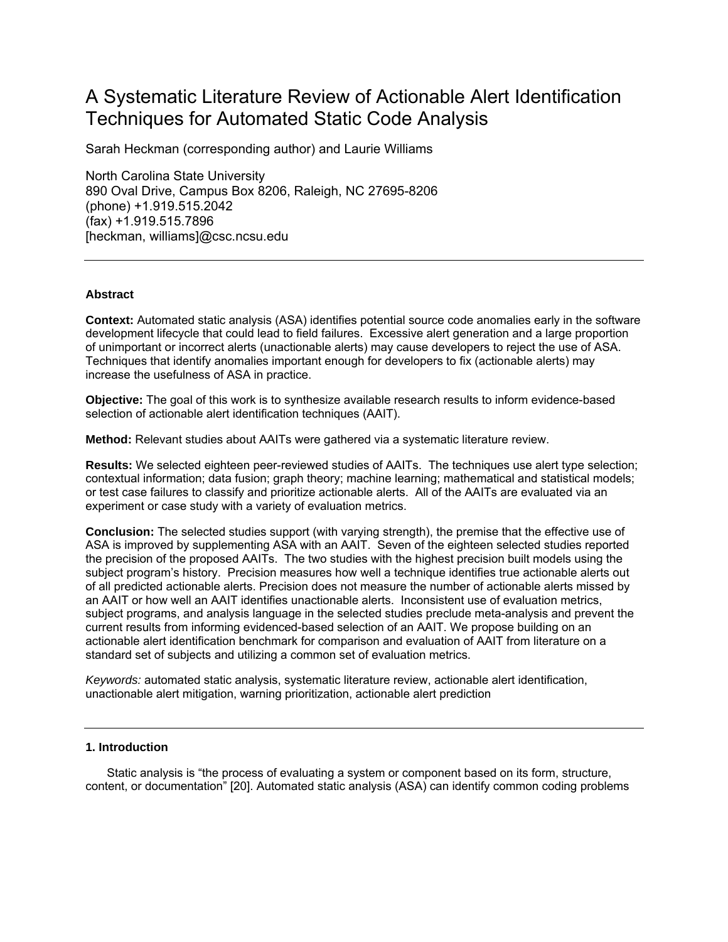# A Systematic Literature Review of Actionable Alert Identification Techniques for Automated Static Code Analysis

Sarah Heckman (corresponding author) and Laurie Williams

North Carolina State University 890 Oval Drive, Campus Box 8206, Raleigh, NC 27695-8206 (phone) +1.919.515.2042 (fax) +1.919.515.7896 [heckman, williams]@csc.ncsu.edu

# **Abstract**

**Context:** Automated static analysis (ASA) identifies potential source code anomalies early in the software development lifecycle that could lead to field failures. Excessive alert generation and a large proportion of unimportant or incorrect alerts (unactionable alerts) may cause developers to reject the use of ASA. Techniques that identify anomalies important enough for developers to fix (actionable alerts) may increase the usefulness of ASA in practice.

**Objective:** The goal of this work is to synthesize available research results to inform evidence-based selection of actionable alert identification techniques (AAIT).

**Method:** Relevant studies about AAITs were gathered via a systematic literature review.

**Results:** We selected eighteen peer-reviewed studies of AAITs. The techniques use alert type selection; contextual information; data fusion; graph theory; machine learning; mathematical and statistical models; or test case failures to classify and prioritize actionable alerts. All of the AAITs are evaluated via an experiment or case study with a variety of evaluation metrics.

**Conclusion:** The selected studies support (with varying strength), the premise that the effective use of ASA is improved by supplementing ASA with an AAIT. Seven of the eighteen selected studies reported the precision of the proposed AAITs. The two studies with the highest precision built models using the subject program's history. Precision measures how well a technique identifies true actionable alerts out of all predicted actionable alerts. Precision does not measure the number of actionable alerts missed by an AAIT or how well an AAIT identifies unactionable alerts. Inconsistent use of evaluation metrics, subject programs, and analysis language in the selected studies preclude meta-analysis and prevent the current results from informing evidenced-based selection of an AAIT. We propose building on an actionable alert identification benchmark for comparison and evaluation of AAIT from literature on a standard set of subjects and utilizing a common set of evaluation metrics.

*Keywords:* automated static analysis, systematic literature review, actionable alert identification, unactionable alert mitigation, warning prioritization, actionable alert prediction

#### **1. Introduction**

Static analysis is "the process of evaluating a system or component based on its form, structure, content, or documentation" [20]. Automated static analysis (ASA) can identify common coding problems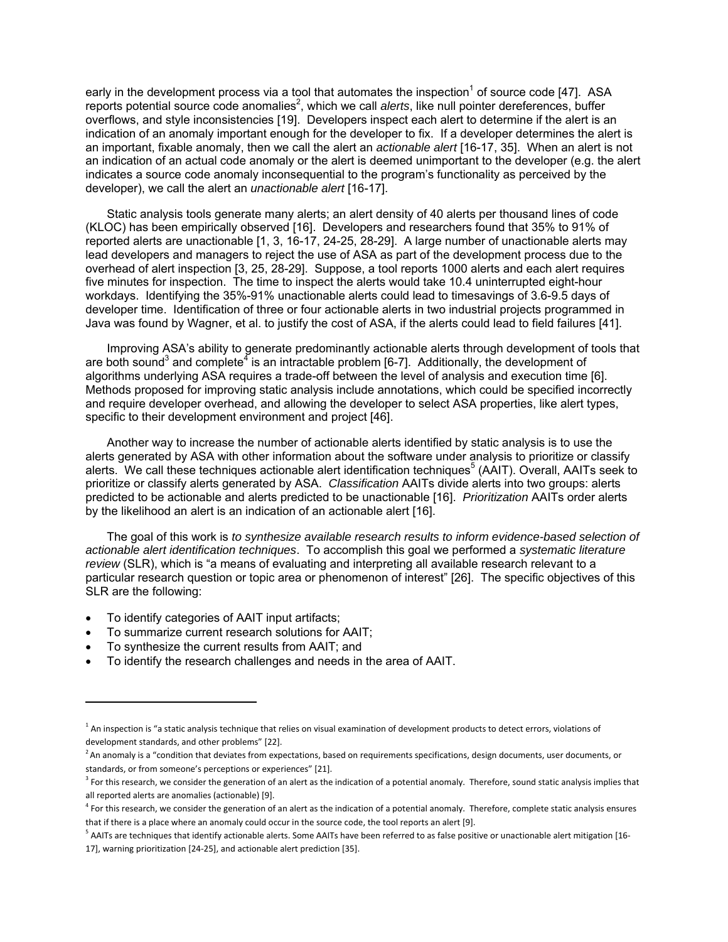early in the development process via a tool that automates the inspection<sup>1</sup> of source code [47]. ASA reports potential source code anomalies<sup>2</sup>, which we call *alerts*, like null pointer dereferences, buffer overflows, and style inconsistencies [19]. Developers inspect each alert to determine if the alert is an indication of an anomaly important enough for the developer to fix. If a developer determines the alert is an important, fixable anomaly, then we call the alert an *actionable alert* [16-17, 35]. When an alert is not an indication of an actual code anomaly or the alert is deemed unimportant to the developer (e.g. the alert indicates a source code anomaly inconsequential to the program's functionality as perceived by the developer), we call the alert an *unactionable alert* [16-17].

Static analysis tools generate many alerts; an alert density of 40 alerts per thousand lines of code (KLOC) has been empirically observed [16]. Developers and researchers found that 35% to 91% of reported alerts are unactionable [1, 3, 16-17, 24-25, 28-29]. A large number of unactionable alerts may lead developers and managers to reject the use of ASA as part of the development process due to the overhead of alert inspection [3, 25, 28-29]. Suppose, a tool reports 1000 alerts and each alert requires five minutes for inspection. The time to inspect the alerts would take 10.4 uninterrupted eight-hour workdays. Identifying the 35%-91% unactionable alerts could lead to timesavings of 3.6-9.5 days of developer time. Identification of three or four actionable alerts in two industrial projects programmed in Java was found by Wagner, et al. to justify the cost of ASA, if the alerts could lead to field failures [41].

Improving ASA's ability to generate predominantly actionable alerts through development of tools that are both sound<sup>3</sup> and complete<sup>4</sup> is an intractable problem [6-7]. Additionally, the development of algorithms underlying ASA requires a trade-off between the level of analysis and execution time [6]. Methods proposed for improving static analysis include annotations, which could be specified incorrectly and require developer overhead, and allowing the developer to select ASA properties, like alert types, specific to their development environment and project [46].

Another way to increase the number of actionable alerts identified by static analysis is to use the alerts generated by ASA with other information about the software under analysis to prioritize or classify alerts. We call these techniques actionable alert identification techniques<sup>5</sup> (AAIT). Overall, AAITs seek to prioritize or classify alerts generated by ASA. *Classification* AAITs divide alerts into two groups: alerts predicted to be actionable and alerts predicted to be unactionable [16]. *Prioritization* AAITs order alerts by the likelihood an alert is an indication of an actionable alert [16].

The goal of this work is *to synthesize available research results to inform evidence-based selection of actionable alert identification techniques*. To accomplish this goal we performed a *systematic literature review* (SLR), which is "a means of evaluating and interpreting all available research relevant to a particular research question or topic area or phenomenon of interest" [26]. The specific objectives of this SLR are the following:

To identify categories of AAIT input artifacts;

- To summarize current research solutions for AAIT;
- To synthesize the current results from AAIT; and
- To identify the research challenges and needs in the area of AAIT.

 $1$  An inspection is "a static analysis technique that relies on visual examination of development products to detect errors, violations of development standards, and other problems" [22].

<sup>&</sup>lt;sup>2</sup> An anomaly is a "condition that deviates from expectations, based on requirements specifications, design documents, user documents, or standards, or from someone's perceptions or experiences" [21].

<sup>&</sup>lt;sup>3</sup> For this research, we consider the generation of an alert as the indication of a potential anomaly. Therefore, sound static analysis implies that all reported alerts are anomalies (actionable) [9].

<sup>&</sup>lt;sup>4</sup> For this research, we consider the generation of an alert as the indication of a potential anomaly. Therefore, complete static analysis ensures that if there is a place where an anomaly could occur in the source code, the tool reports an alert [9].

<sup>5</sup> AAITs are techniques that identify actionable alerts. Some AAITs have been referred to as false positive or unactionable alert mitigation [16-17], warning prioritization [24‐25], and actionable alert prediction [35].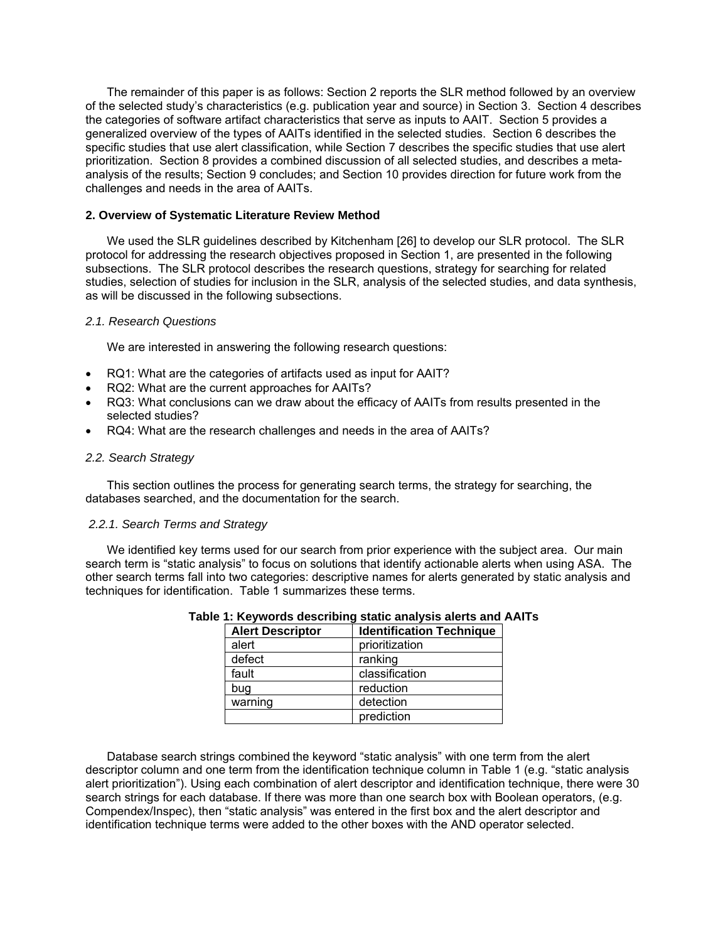The remainder of this paper is as follows: Section 2 reports the SLR method followed by an overview of the selected study's characteristics (e.g. publication year and source) in Section 3. Section 4 describes the categories of software artifact characteristics that serve as inputs to AAIT. Section 5 provides a generalized overview of the types of AAITs identified in the selected studies. Section 6 describes the specific studies that use alert classification, while Section 7 describes the specific studies that use alert prioritization. Section 8 provides a combined discussion of all selected studies, and describes a metaanalysis of the results; Section 9 concludes; and Section 10 provides direction for future work from the challenges and needs in the area of AAITs.

# **2. Overview of Systematic Literature Review Method**

We used the SLR guidelines described by Kitchenham [26] to develop our SLR protocol. The SLR protocol for addressing the research objectives proposed in Section 1, are presented in the following subsections. The SLR protocol describes the research questions, strategy for searching for related studies, selection of studies for inclusion in the SLR, analysis of the selected studies, and data synthesis, as will be discussed in the following subsections.

## *2.1. Research Questions*

We are interested in answering the following research questions:

- RQ1: What are the categories of artifacts used as input for AAIT?
- RQ2: What are the current approaches for AAITs?
- RQ3: What conclusions can we draw about the efficacy of AAITs from results presented in the selected studies?
- RQ4: What are the research challenges and needs in the area of AAITs?

## *2.2. Search Strategy*

 This section outlines the process for generating search terms, the strategy for searching, the databases searched, and the documentation for the search.

#### *2.2.1. Search Terms and Strategy*

 We identified key terms used for our search from prior experience with the subject area. Our main search term is "static analysis" to focus on solutions that identify actionable alerts when using ASA. The other search terms fall into two categories: descriptive names for alerts generated by static analysis and techniques for identification. Table 1 summarizes these terms.

| <b>Alert Descriptor</b> | <b>Identification Technique</b> |
|-------------------------|---------------------------------|
| alert                   | prioritization                  |
| defect                  | ranking                         |
| fault                   | classification                  |
| bug                     | reduction                       |
| warning                 | detection                       |
|                         | prediction                      |

## **Table 1: Keywords describing static analysis alerts and AAITs**

 Database search strings combined the keyword "static analysis" with one term from the alert descriptor column and one term from the identification technique column in Table 1 (e.g. "static analysis alert prioritization"). Using each combination of alert descriptor and identification technique, there were 30 search strings for each database. If there was more than one search box with Boolean operators, (e.g. Compendex/Inspec), then "static analysis" was entered in the first box and the alert descriptor and identification technique terms were added to the other boxes with the AND operator selected.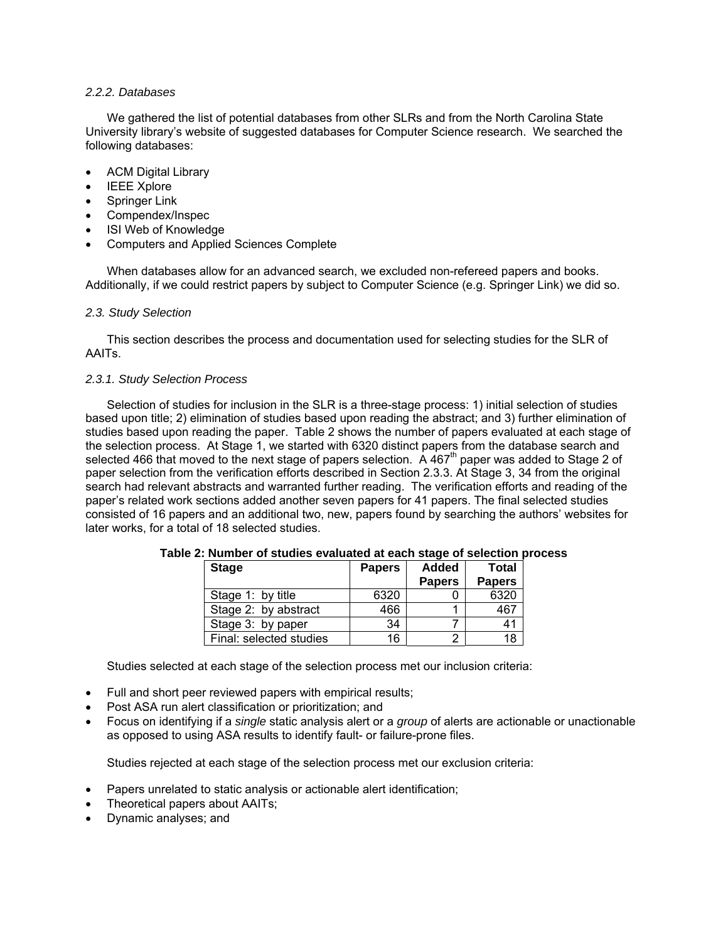# *2.2.2. Databases*

 We gathered the list of potential databases from other SLRs and from the North Carolina State University library's website of suggested databases for Computer Science research. We searched the following databases:

- ACM Digital Library
- **IEEE Xplore**
- Springer Link
- Compendex/Inspec
- ISI Web of Knowledge
- Computers and Applied Sciences Complete

 When databases allow for an advanced search, we excluded non-refereed papers and books. Additionally, if we could restrict papers by subject to Computer Science (e.g. Springer Link) we did so.

#### *2.3. Study Selection*

 This section describes the process and documentation used for selecting studies for the SLR of AAITs.

## *2.3.1. Study Selection Process*

Selection of studies for inclusion in the SLR is a three-stage process: 1) initial selection of studies based upon title; 2) elimination of studies based upon reading the abstract; and 3) further elimination of studies based upon reading the paper. Table 2 shows the number of papers evaluated at each stage of the selection process. At Stage 1, we started with 6320 distinct papers from the database search and selected 466 that moved to the next stage of papers selection. A 467<sup>th</sup> paper was added to Stage 2 of paper selection from the verification efforts described in Section 2.3.3. At Stage 3, 34 from the original search had relevant abstracts and warranted further reading. The verification efforts and reading of the paper's related work sections added another seven papers for 41 papers. The final selected studies consisted of 16 papers and an additional two, new, papers found by searching the authors' websites for later works, for a total of 18 selected studies.

| <b>Stage</b>            | <b>Papers</b> | <b>Added</b>  | Total         |
|-------------------------|---------------|---------------|---------------|
|                         |               | <b>Papers</b> | <b>Papers</b> |
| Stage 1: by title       | 6320          |               | 6320          |
| Stage 2: by abstract    | 466           |               | 467           |
| Stage 3: by paper       | 34            |               | 41            |
| Final: selected studies | 16            |               | 18            |

**Table 2: Number of studies evaluated at each stage of selection process** 

Studies selected at each stage of the selection process met our inclusion criteria:

- Full and short peer reviewed papers with empirical results;
- Post ASA run alert classification or prioritization; and
- Focus on identifying if a *single* static analysis alert or a *group* of alerts are actionable or unactionable as opposed to using ASA results to identify fault- or failure-prone files.

Studies rejected at each stage of the selection process met our exclusion criteria:

- Papers unrelated to static analysis or actionable alert identification;
- Theoretical papers about AAITs;
- Dynamic analyses; and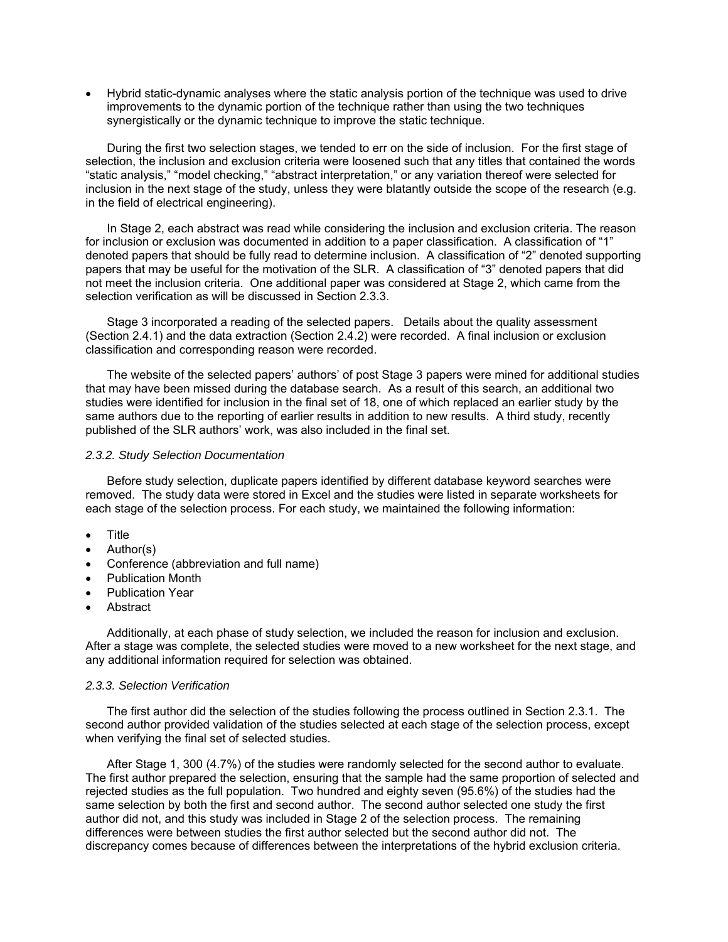• Hybrid static-dynamic analyses where the static analysis portion of the technique was used to drive improvements to the dynamic portion of the technique rather than using the two techniques synergistically or the dynamic technique to improve the static technique.

During the first two selection stages, we tended to err on the side of inclusion. For the first stage of selection, the inclusion and exclusion criteria were loosened such that any titles that contained the words "static analysis," "model checking," "abstract interpretation," or any variation thereof were selected for inclusion in the next stage of the study, unless they were blatantly outside the scope of the research (e.g. in the field of electrical engineering).

 In Stage 2, each abstract was read while considering the inclusion and exclusion criteria. The reason for inclusion or exclusion was documented in addition to a paper classification. A classification of "1" denoted papers that should be fully read to determine inclusion. A classification of "2" denoted supporting papers that may be useful for the motivation of the SLR. A classification of "3" denoted papers that did not meet the inclusion criteria. One additional paper was considered at Stage 2, which came from the selection verification as will be discussed in Section 2.3.3.

 Stage 3 incorporated a reading of the selected papers. Details about the quality assessment (Section 2.4.1) and the data extraction (Section 2.4.2) were recorded. A final inclusion or exclusion classification and corresponding reason were recorded.

The website of the selected papers' authors' of post Stage 3 papers were mined for additional studies that may have been missed during the database search. As a result of this search, an additional two studies were identified for inclusion in the final set of 18, one of which replaced an earlier study by the same authors due to the reporting of earlier results in addition to new results. A third study, recently published of the SLR authors' work, was also included in the final set.

#### *2.3.2. Study Selection Documentation*

 Before study selection, duplicate papers identified by different database keyword searches were removed. The study data were stored in Excel and the studies were listed in separate worksheets for each stage of the selection process. For each study, we maintained the following information:

- Title
- Author(s)
- Conference (abbreviation and full name)
- Publication Month
- Publication Year
- Abstract

Additionally, at each phase of study selection, we included the reason for inclusion and exclusion. After a stage was complete, the selected studies were moved to a new worksheet for the next stage, and any additional information required for selection was obtained.

#### *2.3.3. Selection Verification*

The first author did the selection of the studies following the process outlined in Section 2.3.1. The second author provided validation of the studies selected at each stage of the selection process, except when verifying the final set of selected studies.

After Stage 1, 300 (4.7%) of the studies were randomly selected for the second author to evaluate. The first author prepared the selection, ensuring that the sample had the same proportion of selected and rejected studies as the full population. Two hundred and eighty seven (95.6%) of the studies had the same selection by both the first and second author. The second author selected one study the first author did not, and this study was included in Stage 2 of the selection process. The remaining differences were between studies the first author selected but the second author did not. The discrepancy comes because of differences between the interpretations of the hybrid exclusion criteria.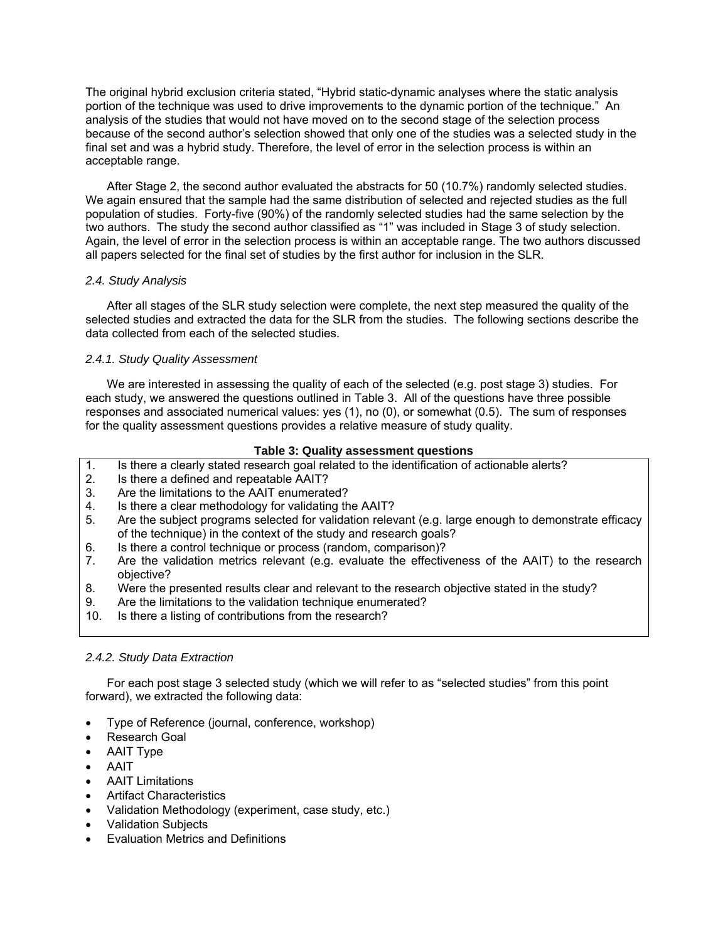The original hybrid exclusion criteria stated, "Hybrid static-dynamic analyses where the static analysis portion of the technique was used to drive improvements to the dynamic portion of the technique." An analysis of the studies that would not have moved on to the second stage of the selection process because of the second author's selection showed that only one of the studies was a selected study in the final set and was a hybrid study. Therefore, the level of error in the selection process is within an acceptable range.

 After Stage 2, the second author evaluated the abstracts for 50 (10.7%) randomly selected studies. We again ensured that the sample had the same distribution of selected and rejected studies as the full population of studies. Forty-five (90%) of the randomly selected studies had the same selection by the two authors. The study the second author classified as "1" was included in Stage 3 of study selection. Again, the level of error in the selection process is within an acceptable range. The two authors discussed all papers selected for the final set of studies by the first author for inclusion in the SLR.

# *2.4. Study Analysis*

After all stages of the SLR study selection were complete, the next step measured the quality of the selected studies and extracted the data for the SLR from the studies. The following sections describe the data collected from each of the selected studies.

## *2.4.1. Study Quality Assessment*

 We are interested in assessing the quality of each of the selected (e.g. post stage 3) studies. For each study, we answered the questions outlined in Table 3. All of the questions have three possible responses and associated numerical values: yes (1), no (0), or somewhat (0.5). The sum of responses for the quality assessment questions provides a relative measure of study quality.

# **Table 3: Quality assessment questions**

- 1. Is there a clearly stated research goal related to the identification of actionable alerts?
- 2. Is there a defined and repeatable AAIT?
- 3. Are the limitations to the AAIT enumerated?
- 4. Is there a clear methodology for validating the AAIT?
- 5. Are the subject programs selected for validation relevant (e.g. large enough to demonstrate efficacy of the technique) in the context of the study and research goals?
- 6. Is there a control technique or process (random, comparison)?
- 7. Are the validation metrics relevant (e.g. evaluate the effectiveness of the AAIT) to the research objective?
- 8. Were the presented results clear and relevant to the research objective stated in the study?
- 9. Are the limitations to the validation technique enumerated?
- 10. Is there a listing of contributions from the research?

# *2.4.2. Study Data Extraction*

 For each post stage 3 selected study (which we will refer to as "selected studies" from this point forward), we extracted the following data:

- Type of Reference (journal, conference, workshop)
- Research Goal
- AAIT Type
- AAIT
- AAIT Limitations
- Artifact Characteristics
- Validation Methodology (experiment, case study, etc.)
- Validation Subjects
- Evaluation Metrics and Definitions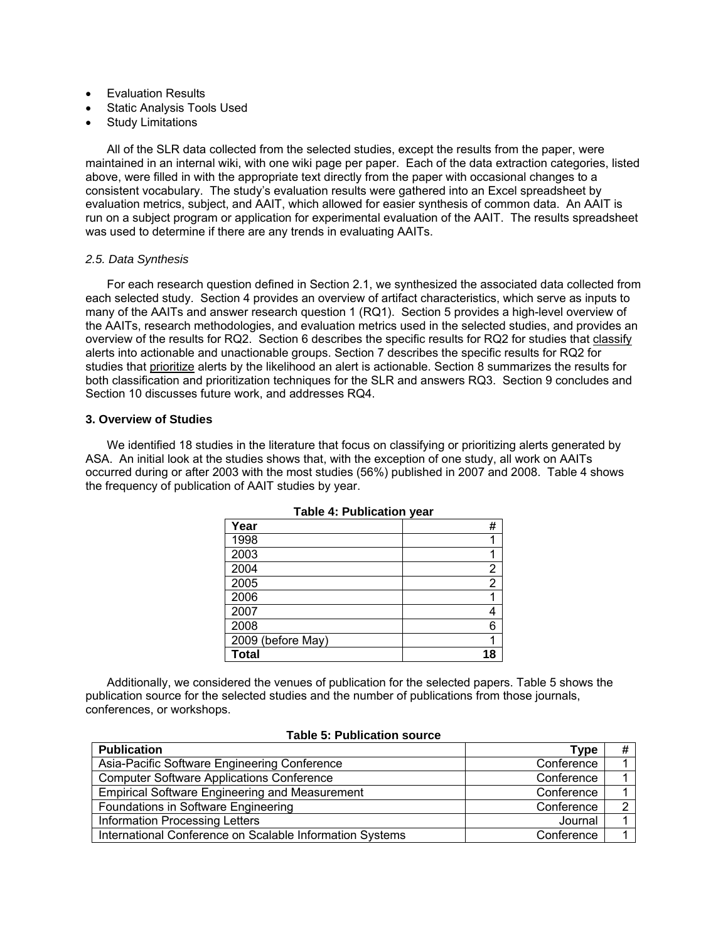- Evaluation Results
- Static Analysis Tools Used
- **Study Limitations**

All of the SLR data collected from the selected studies, except the results from the paper, were maintained in an internal wiki, with one wiki page per paper. Each of the data extraction categories, listed above, were filled in with the appropriate text directly from the paper with occasional changes to a consistent vocabulary. The study's evaluation results were gathered into an Excel spreadsheet by evaluation metrics, subject, and AAIT, which allowed for easier synthesis of common data. An AAIT is run on a subject program or application for experimental evaluation of the AAIT. The results spreadsheet was used to determine if there are any trends in evaluating AAITs.

## *2.5. Data Synthesis*

For each research question defined in Section 2.1, we synthesized the associated data collected from each selected study. Section 4 provides an overview of artifact characteristics, which serve as inputs to many of the AAITs and answer research question 1 (RQ1). Section 5 provides a high-level overview of the AAITs, research methodologies, and evaluation metrics used in the selected studies, and provides an overview of the results for RQ2. Section 6 describes the specific results for RQ2 for studies that classify alerts into actionable and unactionable groups. Section 7 describes the specific results for RQ2 for studies that prioritize alerts by the likelihood an alert is actionable. Section 8 summarizes the results for both classification and prioritization techniques for the SLR and answers RQ3. Section 9 concludes and Section 10 discusses future work, and addresses RQ4.

# **3. Overview of Studies**

We identified 18 studies in the literature that focus on classifying or prioritizing alerts generated by ASA. An initial look at the studies shows that, with the exception of one study, all work on AAITs occurred during or after 2003 with the most studies (56%) published in 2007 and 2008. Table 4 shows the frequency of publication of AAIT studies by year.

| $1$ abic $\pi$ . I abiication year |    |  |  |  |
|------------------------------------|----|--|--|--|
| Year                               | #  |  |  |  |
| 1998                               |    |  |  |  |
| 2003                               |    |  |  |  |
| 2004                               | 2  |  |  |  |
| 2005                               | 2  |  |  |  |
| 2006                               |    |  |  |  |
| 2007                               |    |  |  |  |
| 2008                               | 6  |  |  |  |
| 2009 (before May)                  |    |  |  |  |
| <b>Total</b>                       | 18 |  |  |  |

Additionally, we considered the venues of publication for the selected papers. Table 5 shows the publication source for the selected studies and the number of publications from those journals, conferences, or workshops.

| <b>Publication</b>                                       | Type       |  |
|----------------------------------------------------------|------------|--|
| Asia-Pacific Software Engineering Conference             | Conference |  |
| <b>Computer Software Applications Conference</b>         | Conference |  |
| <b>Empirical Software Engineering and Measurement</b>    | Conference |  |
| Foundations in Software Engineering                      | Conference |  |
| Information Processing Letters                           | Journal    |  |
| International Conference on Scalable Information Systems | Conference |  |

**Table 5: Publication source**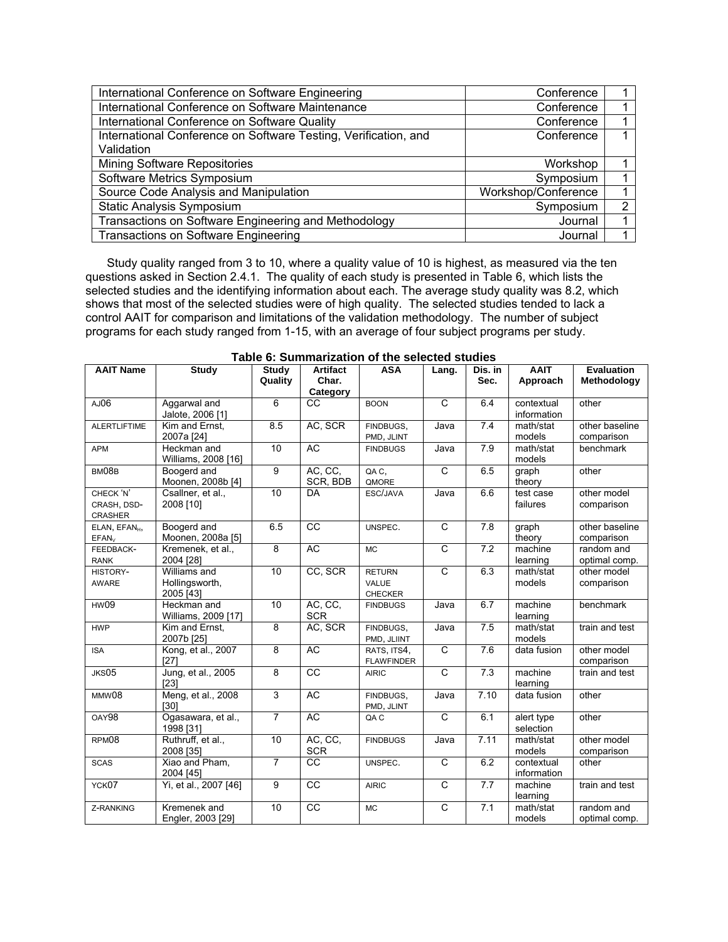| International Conference on Software Engineering                | Conference          |   |
|-----------------------------------------------------------------|---------------------|---|
| International Conference on Software Maintenance                | Conference          |   |
| International Conference on Software Quality                    | Conference          |   |
| International Conference on Software Testing, Verification, and | Conference          |   |
| Validation                                                      |                     |   |
| <b>Mining Software Repositories</b>                             | Workshop            |   |
| Software Metrics Symposium                                      | Symposium           |   |
| Source Code Analysis and Manipulation                           | Workshop/Conference |   |
| <b>Static Analysis Symposium</b>                                | Symposium           | っ |
| Transactions on Software Engineering and Methodology            | Journal             |   |
| <b>Transactions on Software Engineering</b>                     | Journal             |   |

Study quality ranged from 3 to 10, where a quality value of 10 is highest, as measured via the ten questions asked in Section 2.4.1. The quality of each study is presented in Table 6, which lists the selected studies and the identifying information about each. The average study quality was 8.2, which shows that most of the selected studies were of high quality. The selected studies tended to lack a control AAIT for comparison and limitations of the validation methodology. The number of subject programs for each study ranged from 1-15, with an average of four subject programs per study.

| <b>AAIT Name</b>                               | <b>Study</b>                                | <b>Study</b><br>Quality | <b>Artifact</b><br>Char.<br>Category | <b>ASA</b>                               | Lang.                   | Dis. in<br>Sec.  | <b>AAIT</b><br>Approach   | <b>Evaluation</b><br>Methodology |
|------------------------------------------------|---------------------------------------------|-------------------------|--------------------------------------|------------------------------------------|-------------------------|------------------|---------------------------|----------------------------------|
| AJ06                                           | Aggarwal and<br>Jalote, 2006 [1]            | 6                       | CC                                   | <b>BOON</b>                              | $\overline{c}$          | 6.4              | contextual<br>information | other                            |
| <b>ALERTLIFTIME</b>                            | Kim and Ernst,<br>2007a [24]                | 8.5                     | AC, SCR                              | FINDBUGS,<br>PMD, JLINT                  | Java                    | 7.4              | math/stat<br>models       | other baseline<br>comparison     |
| <b>APM</b>                                     | Heckman and<br>Williams, 2008 [16]          | 10                      | <b>AC</b>                            | <b>FINDBUGS</b>                          | Java                    | 7.9              | math/stat<br>models       | benchmark                        |
| BM08B                                          | Boogerd and<br>Moonen, 2008b [4]            | $\overline{9}$          | AC, CC,<br>SCR, BDB                  | QAC,<br>QMORE                            | $\overline{c}$          | 6.5              | graph<br>theory           | other                            |
| CHECK 'N'<br>CRASH, DSD-<br><b>CRASHER</b>     | Csallner, et al.,<br>2008 [10]              | 10                      | DA                                   | ESC/JAVA                                 | Java                    | 6.6              | test case<br>failures     | other model<br>comparison        |
| ELAN, EFAN <sub>H</sub> ,<br>EFAN <sub>v</sub> | Boogerd and<br>Moonen, 2008a [5]            | 6.5                     | $\overline{cc}$                      | UNSPEC.                                  | $\overline{c}$          | $\overline{7.8}$ | graph<br>theory           | other baseline<br>comparison     |
| FEEDBACK-<br><b>RANK</b>                       | Kremenek, et al.,<br>2004 [28]              | $\overline{8}$          | AC                                   | <b>MC</b>                                | $\overline{\mathsf{c}}$ | 7.2              | machine<br>learning       | random and<br>optimal comp.      |
| HISTORY-<br><b>AWARE</b>                       | Williams and<br>Hollingsworth,<br>2005 [43] | $\overline{10}$         | CC, SCR                              | <b>RETURN</b><br>VALUE<br><b>CHECKER</b> | $\overline{C}$          | 6.3              | math/stat<br>models       | other model<br>comparison        |
| <b>HW09</b>                                    | Heckman and<br>Williams, 2009 [17]          | $\overline{10}$         | AC, CC,<br><b>SCR</b>                | <b>FINDBUGS</b>                          | Java                    | 6.7              | machine<br>learning       | benchmark                        |
| <b>HWP</b>                                     | Kim and Ernst.<br>2007b [25]                | 8                       | AC, SCR                              | FINDBUGS,<br>PMD, JLIINT                 | Java                    | 7.5              | math/stat<br>models       | train and test                   |
| <b>ISA</b>                                     | Kong, et al., 2007<br>$[27]$                | $\overline{8}$          | <b>AC</b>                            | RATS, ITS4,<br><b>FLAWFINDER</b>         | $\overline{c}$          | $\overline{7.6}$ | data fusion               | other model<br>comparison        |
| JKS05                                          | Jung, et al., 2005<br>[23]                  | 8                       | CC                                   | <b>AIRIC</b>                             | $\mathbf C$             | 7.3              | machine<br>learning       | train and test                   |
| MMW08                                          | Meng, et al., 2008<br>[30]                  | 3                       | <b>AC</b>                            | FINDBUGS,<br>PMD, JLINT                  | Java                    | 7.10             | data fusion               | other                            |
| OAY98                                          | Ogasawara, et al.,<br>1998 [31]             | $\overline{7}$          | AC                                   | QA C                                     | $\overline{c}$          | 6.1              | alert type<br>selection   | other                            |
| RPM08                                          | Ruthruff, et al.,<br>2008 [35]              | 10                      | AC, CC,<br><b>SCR</b>                | <b>FINDBUGS</b>                          | Java                    | 7.11             | math/stat<br>models       | other model<br>comparison        |
| <b>SCAS</b>                                    | Xiao and Pham.<br>2004 [45]                 | $\overline{7}$          | $\overline{cc}$                      | UNSPEC.                                  | $\overline{c}$          | 6.2              | contextual<br>information | other                            |
| YCK07                                          | Yi, et al., 2007 [46]                       | 9                       | $\overline{cc}$                      | <b>AIRIC</b>                             | $\overline{c}$          | 7.7              | machine<br>learning       | train and test                   |
| Z-RANKING                                      | Kremenek and<br>Engler, 2003 [29]           | 10                      | CC                                   | <b>MC</b>                                | $\mathsf{C}$            | 7.1              | math/stat<br>models       | random and<br>optimal comp.      |

# **Table 6: Summarization of the selected studies**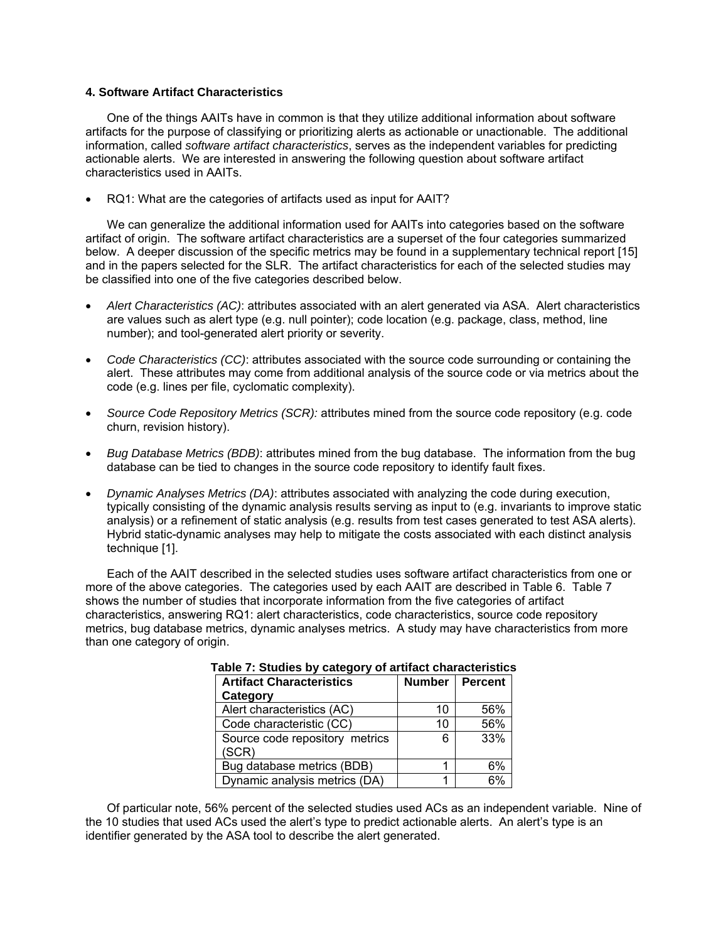# **4. Software Artifact Characteristics**

One of the things AAITs have in common is that they utilize additional information about software artifacts for the purpose of classifying or prioritizing alerts as actionable or unactionable. The additional information, called *software artifact characteristics*, serves as the independent variables for predicting actionable alerts. We are interested in answering the following question about software artifact characteristics used in AAITs.

• RQ1: What are the categories of artifacts used as input for AAIT?

We can generalize the additional information used for AAITs into categories based on the software artifact of origin. The software artifact characteristics are a superset of the four categories summarized below. A deeper discussion of the specific metrics may be found in a supplementary technical report [15] and in the papers selected for the SLR. The artifact characteristics for each of the selected studies may be classified into one of the five categories described below.

- *Alert Characteristics (AC)*: attributes associated with an alert generated via ASA. Alert characteristics are values such as alert type (e.g. null pointer); code location (e.g. package, class, method, line number); and tool-generated alert priority or severity.
- *Code Characteristics (CC)*: attributes associated with the source code surrounding or containing the alert. These attributes may come from additional analysis of the source code or via metrics about the code (e.g. lines per file, cyclomatic complexity).
- *Source Code Repository Metrics (SCR):* attributes mined from the source code repository (e.g. code churn, revision history).
- *Bug Database Metrics (BDB)*: attributes mined from the bug database. The information from the bug database can be tied to changes in the source code repository to identify fault fixes.
- *Dynamic Analyses Metrics (DA)*: attributes associated with analyzing the code during execution, typically consisting of the dynamic analysis results serving as input to (e.g. invariants to improve static analysis) or a refinement of static analysis (e.g. results from test cases generated to test ASA alerts). Hybrid static-dynamic analyses may help to mitigate the costs associated with each distinct analysis technique [1].

Each of the AAIT described in the selected studies uses software artifact characteristics from one or more of the above categories. The categories used by each AAIT are described in Table 6. Table 7 shows the number of studies that incorporate information from the five categories of artifact characteristics, answering RQ1: alert characteristics, code characteristics, source code repository metrics, bug database metrics, dynamic analyses metrics. A study may have characteristics from more than one category of origin.

| <b>Artifact Characteristics</b>         | Number | <b>Percent</b> |
|-----------------------------------------|--------|----------------|
| Category                                |        |                |
| Alert characteristics (AC)              | 10     | 56%            |
| Code characteristic (CC)                | 10     | 56%            |
| Source code repository metrics<br>(SCR) | 6      | 33%            |
| Bug database metrics (BDB)              |        | 6%             |
| Dynamic analysis metrics (DA)           |        |                |

| Table 7: Studies by category of artifact characteristics                                                                                                                                                                                                                                                                          |  |                       |  |
|-----------------------------------------------------------------------------------------------------------------------------------------------------------------------------------------------------------------------------------------------------------------------------------------------------------------------------------|--|-----------------------|--|
| $\overline{a}$ at $\overline{b}$ and $\overline{c}$ and $\overline{a}$ and $\overline{a}$ and $\overline{a}$ and $\overline{a}$ and $\overline{a}$ and $\overline{a}$ and $\overline{a}$ and $\overline{a}$ and $\overline{a}$ and $\overline{a}$ and $\overline{a}$ and $\overline{a}$ and $\overline{a}$ and $\overline{a}$ and |  | <b>Number Devenue</b> |  |

Of particular note, 56% percent of the selected studies used ACs as an independent variable. Nine of the 10 studies that used ACs used the alert's type to predict actionable alerts. An alert's type is an identifier generated by the ASA tool to describe the alert generated.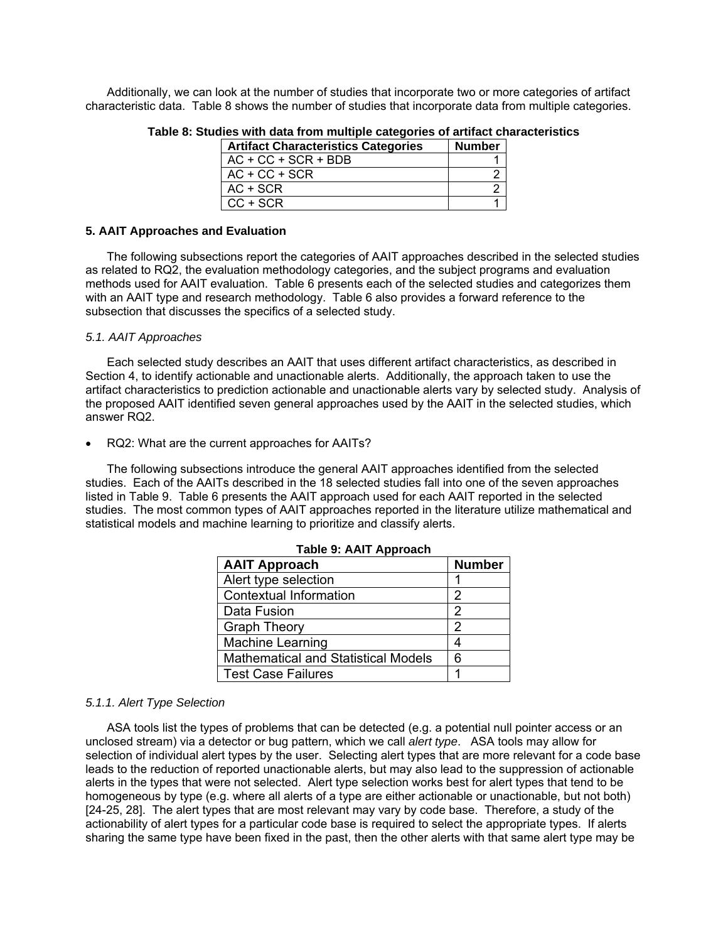Additionally, we can look at the number of studies that incorporate two or more categories of artifact characteristic data. Table 8 shows the number of studies that incorporate data from multiple categories.

| <b>Artifact Characteristics Categories</b> | <b>Number</b> |
|--------------------------------------------|---------------|
| $AC + CC + SCR + BDB$                      |               |
| AC + CC + SCR                              |               |
| AC + SCR                                   |               |
| $ CC + SCR$                                |               |

**Table 8: Studies with data from multiple categories of artifact characteristics** 

## **5. AAIT Approaches and Evaluation**

The following subsections report the categories of AAIT approaches described in the selected studies as related to RQ2, the evaluation methodology categories, and the subject programs and evaluation methods used for AAIT evaluation. Table 6 presents each of the selected studies and categorizes them with an AAIT type and research methodology. Table 6 also provides a forward reference to the subsection that discusses the specifics of a selected study.

## *5.1. AAIT Approaches*

Each selected study describes an AAIT that uses different artifact characteristics, as described in Section 4, to identify actionable and unactionable alerts. Additionally, the approach taken to use the artifact characteristics to prediction actionable and unactionable alerts vary by selected study. Analysis of the proposed AAIT identified seven general approaches used by the AAIT in the selected studies, which answer RQ2.

• RQ2: What are the current approaches for AAITs?

The following subsections introduce the general AAIT approaches identified from the selected studies. Each of the AAITs described in the 18 selected studies fall into one of the seven approaches listed in Table 9. Table 6 presents the AAIT approach used for each AAIT reported in the selected studies. The most common types of AAIT approaches reported in the literature utilize mathematical and statistical models and machine learning to prioritize and classify alerts.

| <b>AAIT Approach</b>                       | <b>Number</b> |
|--------------------------------------------|---------------|
| Alert type selection                       |               |
| <b>Contextual Information</b>              | 2             |
| Data Fusion                                | 2             |
| <b>Graph Theory</b>                        | 2             |
| <b>Machine Learning</b>                    | 4             |
| <b>Mathematical and Statistical Models</b> | 6             |
| <b>Test Case Failures</b>                  |               |

**Table 9: AAIT Approach** 

#### *5.1.1. Alert Type Selection*

ASA tools list the types of problems that can be detected (e.g. a potential null pointer access or an unclosed stream) via a detector or bug pattern, which we call *alert type*. ASA tools may allow for selection of individual alert types by the user. Selecting alert types that are more relevant for a code base leads to the reduction of reported unactionable alerts, but may also lead to the suppression of actionable alerts in the types that were not selected. Alert type selection works best for alert types that tend to be homogeneous by type (e.g. where all alerts of a type are either actionable or unactionable, but not both) [24-25, 28]. The alert types that are most relevant may vary by code base. Therefore, a study of the actionability of alert types for a particular code base is required to select the appropriate types. If alerts sharing the same type have been fixed in the past, then the other alerts with that same alert type may be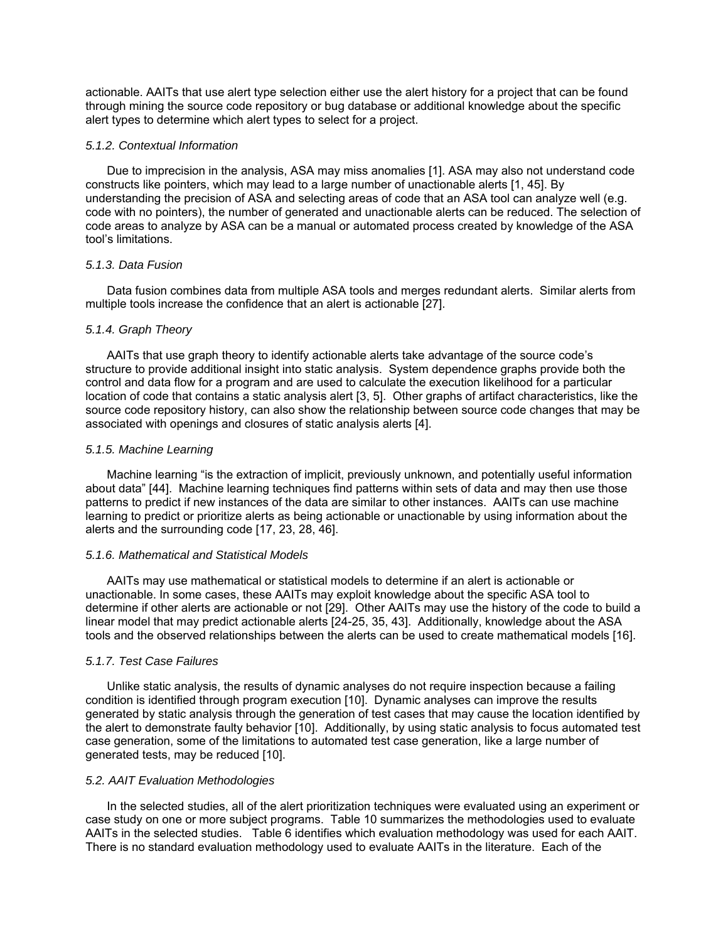actionable. AAITs that use alert type selection either use the alert history for a project that can be found through mining the source code repository or bug database or additional knowledge about the specific alert types to determine which alert types to select for a project.

## *5.1.2. Contextual Information*

Due to imprecision in the analysis, ASA may miss anomalies [1]. ASA may also not understand code constructs like pointers, which may lead to a large number of unactionable alerts [1, 45]. By understanding the precision of ASA and selecting areas of code that an ASA tool can analyze well (e.g. code with no pointers), the number of generated and unactionable alerts can be reduced. The selection of code areas to analyze by ASA can be a manual or automated process created by knowledge of the ASA tool's limitations.

## *5.1.3. Data Fusion*

Data fusion combines data from multiple ASA tools and merges redundant alerts. Similar alerts from multiple tools increase the confidence that an alert is actionable [27].

# *5.1.4. Graph Theory*

AAITs that use graph theory to identify actionable alerts take advantage of the source code's structure to provide additional insight into static analysis. System dependence graphs provide both the control and data flow for a program and are used to calculate the execution likelihood for a particular location of code that contains a static analysis alert [3, 5]. Other graphs of artifact characteristics, like the source code repository history, can also show the relationship between source code changes that may be associated with openings and closures of static analysis alerts [4].

## *5.1.5. Machine Learning*

Machine learning "is the extraction of implicit, previously unknown, and potentially useful information about data" [44]. Machine learning techniques find patterns within sets of data and may then use those patterns to predict if new instances of the data are similar to other instances. AAITs can use machine learning to predict or prioritize alerts as being actionable or unactionable by using information about the alerts and the surrounding code [17, 23, 28, 46].

#### *5.1.6. Mathematical and Statistical Models*

AAITs may use mathematical or statistical models to determine if an alert is actionable or unactionable. In some cases, these AAITs may exploit knowledge about the specific ASA tool to determine if other alerts are actionable or not [29]. Other AAITs may use the history of the code to build a linear model that may predict actionable alerts [24-25, 35, 43]. Additionally, knowledge about the ASA tools and the observed relationships between the alerts can be used to create mathematical models [16].

# *5.1.7. Test Case Failures*

Unlike static analysis, the results of dynamic analyses do not require inspection because a failing condition is identified through program execution [10]. Dynamic analyses can improve the results generated by static analysis through the generation of test cases that may cause the location identified by the alert to demonstrate faulty behavior [10]. Additionally, by using static analysis to focus automated test case generation, some of the limitations to automated test case generation, like a large number of generated tests, may be reduced [10].

# *5.2. AAIT Evaluation Methodologies*

In the selected studies, all of the alert prioritization techniques were evaluated using an experiment or case study on one or more subject programs. Table 10 summarizes the methodologies used to evaluate AAITs in the selected studies. Table 6 identifies which evaluation methodology was used for each AAIT. There is no standard evaluation methodology used to evaluate AAITs in the literature. Each of the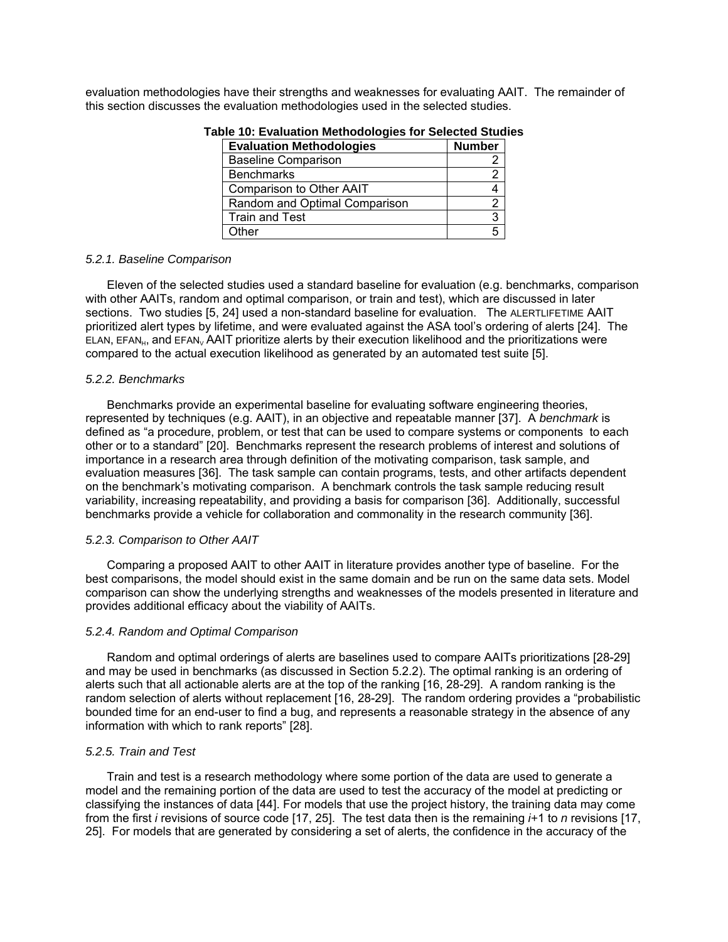evaluation methodologies have their strengths and weaknesses for evaluating AAIT. The remainder of this section discusses the evaluation methodologies used in the selected studies.

| <b>Evaluation Methodologies</b> | <b>Number</b> |
|---------------------------------|---------------|
| <b>Baseline Comparison</b>      |               |
| <b>Benchmarks</b>               |               |
| Comparison to Other AAIT        |               |
| Random and Optimal Comparison   |               |
| <b>Train and Test</b>           |               |
| )ther                           |               |

## **Table 10: Evaluation Methodologies for Selected Studies**

## *5.2.1. Baseline Comparison*

Eleven of the selected studies used a standard baseline for evaluation (e.g. benchmarks, comparison with other AAITs, random and optimal comparison, or train and test), which are discussed in later sections. Two studies [5, 24] used a non-standard baseline for evaluation. The ALERTLIFETIME AAIT prioritized alert types by lifetime, and were evaluated against the ASA tool's ordering of alerts [24]. The ELAN, EFAN<sub>H</sub>, and EFAN<sub>V</sub> AAIT prioritize alerts by their execution likelihood and the prioritizations were compared to the actual execution likelihood as generated by an automated test suite [5].

## *5.2.2. Benchmarks*

Benchmarks provide an experimental baseline for evaluating software engineering theories, represented by techniques (e.g. AAIT), in an objective and repeatable manner [37]. A *benchmark* is defined as "a procedure, problem, or test that can be used to compare systems or components to each other or to a standard" [20]. Benchmarks represent the research problems of interest and solutions of importance in a research area through definition of the motivating comparison, task sample, and evaluation measures [36]. The task sample can contain programs, tests, and other artifacts dependent on the benchmark's motivating comparison. A benchmark controls the task sample reducing result variability, increasing repeatability, and providing a basis for comparison [36]. Additionally, successful benchmarks provide a vehicle for collaboration and commonality in the research community [36].

#### *5.2.3. Comparison to Other AAIT*

Comparing a proposed AAIT to other AAIT in literature provides another type of baseline. For the best comparisons, the model should exist in the same domain and be run on the same data sets. Model comparison can show the underlying strengths and weaknesses of the models presented in literature and provides additional efficacy about the viability of AAITs.

#### *5.2.4. Random and Optimal Comparison*

Random and optimal orderings of alerts are baselines used to compare AAITs prioritizations [28-29] and may be used in benchmarks (as discussed in Section 5.2.2). The optimal ranking is an ordering of alerts such that all actionable alerts are at the top of the ranking [16, 28-29]. A random ranking is the random selection of alerts without replacement [16, 28-29]. The random ordering provides a "probabilistic bounded time for an end-user to find a bug, and represents a reasonable strategy in the absence of any information with which to rank reports" [28].

#### *5.2.5. Train and Test*

Train and test is a research methodology where some portion of the data are used to generate a model and the remaining portion of the data are used to test the accuracy of the model at predicting or classifying the instances of data [44]. For models that use the project history, the training data may come from the first *i* revisions of source code [17, 25]. The test data then is the remaining *i+*1 to *n* revisions [17, 25]. For models that are generated by considering a set of alerts, the confidence in the accuracy of the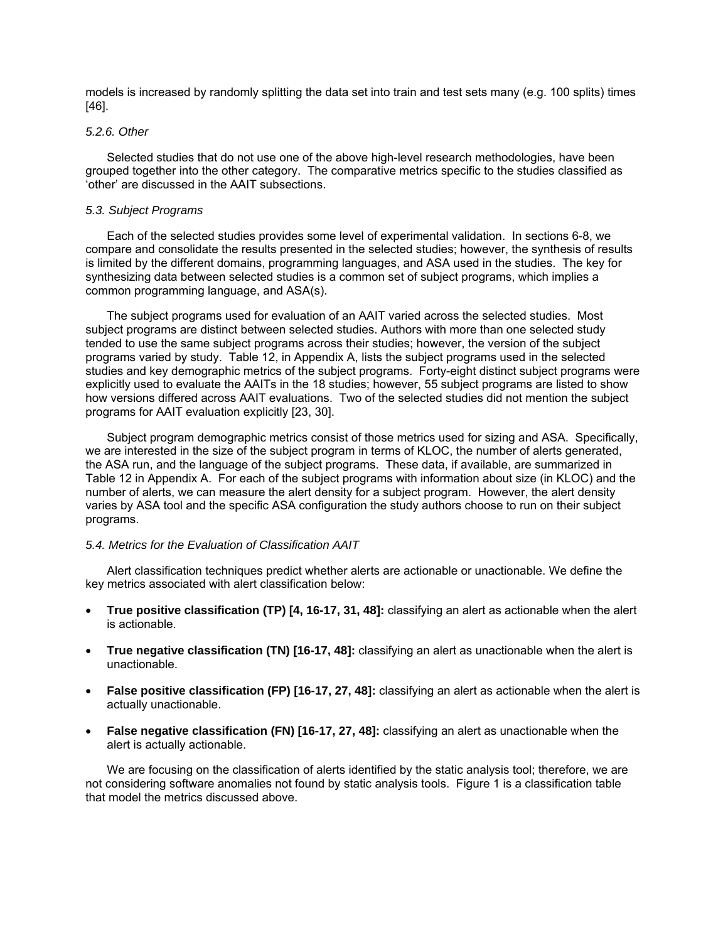models is increased by randomly splitting the data set into train and test sets many (e.g. 100 splits) times [46].

# *5.2.6. Other*

Selected studies that do not use one of the above high-level research methodologies, have been grouped together into the other category. The comparative metrics specific to the studies classified as 'other' are discussed in the AAIT subsections.

# *5.3. Subject Programs*

Each of the selected studies provides some level of experimental validation. In sections 6-8, we compare and consolidate the results presented in the selected studies; however, the synthesis of results is limited by the different domains, programming languages, and ASA used in the studies. The key for synthesizing data between selected studies is a common set of subject programs, which implies a common programming language, and ASA(s).

The subject programs used for evaluation of an AAIT varied across the selected studies. Most subject programs are distinct between selected studies. Authors with more than one selected study tended to use the same subject programs across their studies; however, the version of the subject programs varied by study. Table 12, in Appendix A, lists the subject programs used in the selected studies and key demographic metrics of the subject programs. Forty-eight distinct subject programs were explicitly used to evaluate the AAITs in the 18 studies; however, 55 subject programs are listed to show how versions differed across AAIT evaluations. Two of the selected studies did not mention the subject programs for AAIT evaluation explicitly [23, 30].

Subject program demographic metrics consist of those metrics used for sizing and ASA. Specifically, we are interested in the size of the subject program in terms of KLOC, the number of alerts generated, the ASA run, and the language of the subject programs. These data, if available, are summarized in Table 12 in Appendix A. For each of the subject programs with information about size (in KLOC) and the number of alerts, we can measure the alert density for a subject program. However, the alert density varies by ASA tool and the specific ASA configuration the study authors choose to run on their subject programs.

#### *5.4. Metrics for the Evaluation of Classification AAIT*

Alert classification techniques predict whether alerts are actionable or unactionable. We define the key metrics associated with alert classification below:

- **True positive classification (TP) [4, 16-17, 31, 48]:** classifying an alert as actionable when the alert is actionable.
- **True negative classification (TN) [16-17, 48]:** classifying an alert as unactionable when the alert is unactionable.
- **False positive classification (FP) [16-17, 27, 48]:** classifying an alert as actionable when the alert is actually unactionable.
- **False negative classification (FN) [16-17, 27, 48]:** classifying an alert as unactionable when the alert is actually actionable.

We are focusing on the classification of alerts identified by the static analysis tool; therefore, we are not considering software anomalies not found by static analysis tools. Figure 1 is a classification table that model the metrics discussed above.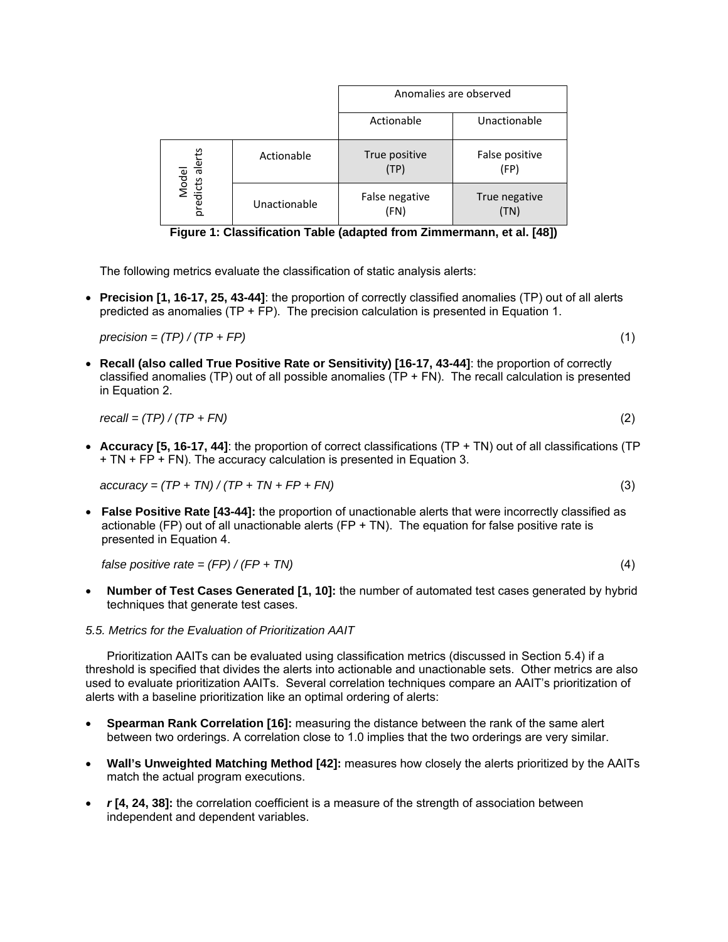|                   |              | Anomalies are observed |                        |  |  |  |
|-------------------|--------------|------------------------|------------------------|--|--|--|
|                   |              | Actionable             | Unactionable           |  |  |  |
| alerts            | Actionable   | True positive<br>(TP)  | False positive<br>(FP) |  |  |  |
| Model<br>predicts | Unactionable | False negative<br>(FN) | True negative<br>(TN)  |  |  |  |

**Figure 1: Classification Table (adapted from Zimmermann, et al. [48])** 

The following metrics evaluate the classification of static analysis alerts:

• **Precision [1, 16-17, 25, 43-44]**: the proportion of correctly classified anomalies (TP) out of all alerts predicted as anomalies (TP + FP). The precision calculation is presented in Equation 1.

 $precision = (TP) / (TP + FP)$  (1)

• **Recall (also called True Positive Rate or Sensitivity) [16-17, 43-44]**: the proportion of correctly classified anomalies (TP) out of all possible anomalies ( $TP + FN$ ). The recall calculation is presented in Equation 2.

$$
recall = (TP) / (TP + FN)
$$
 (2)

• **Accuracy [5, 16-17, 44]**: the proportion of correct classifications (TP + TN) out of all classifications (TP + TN + FP + FN). The accuracy calculation is presented in Equation 3.

$$
accuracy = (TP + TN) / (TP + TN + FP + FN)
$$
\n(3)

• **False Positive Rate [43-44]:** the proportion of unactionable alerts that were incorrectly classified as actionable (FP) out of all unactionable alerts (FP + TN). The equation for false positive rate is presented in Equation 4.

*false positive rate = (FP) / (FP + TN)* (4)

• **Number of Test Cases Generated [1, 10]:** the number of automated test cases generated by hybrid techniques that generate test cases.

### *5.5. Metrics for the Evaluation of Prioritization AAIT*

Prioritization AAITs can be evaluated using classification metrics (discussed in Section 5.4) if a threshold is specified that divides the alerts into actionable and unactionable sets. Other metrics are also used to evaluate prioritization AAITs. Several correlation techniques compare an AAIT's prioritization of alerts with a baseline prioritization like an optimal ordering of alerts:

- **Spearman Rank Correlation [16]:** measuring the distance between the rank of the same alert between two orderings. A correlation close to 1.0 implies that the two orderings are very similar.
- **Wall's Unweighted Matching Method [42]:** measures how closely the alerts prioritized by the AAITs match the actual program executions.
- *r* **[4, 24, 38]:** the correlation coefficient is a measure of the strength of association between independent and dependent variables.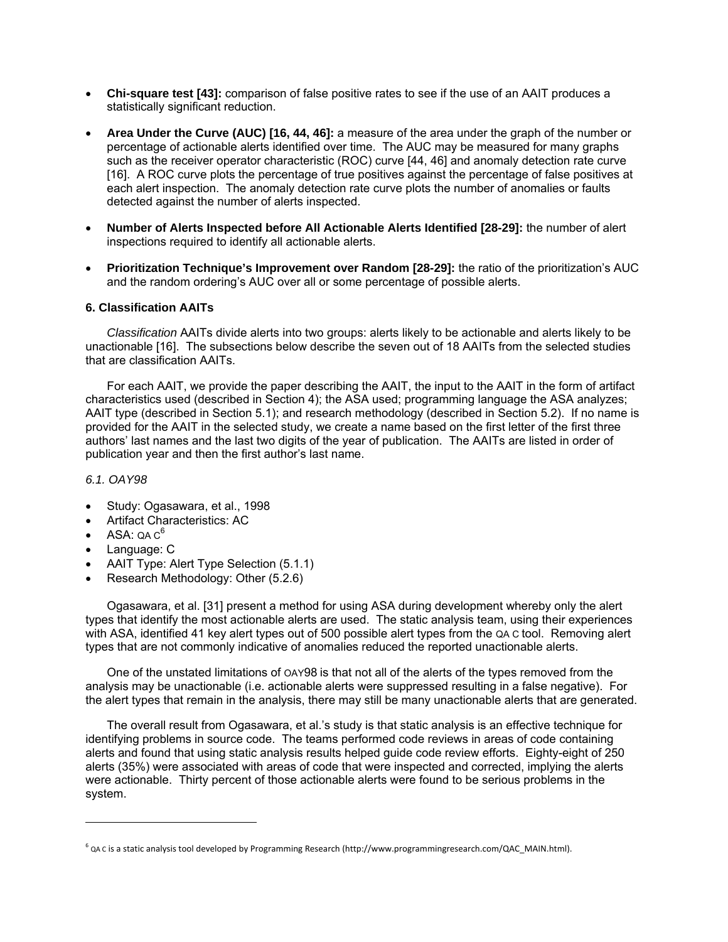- **Chi-square test [43]:** comparison of false positive rates to see if the use of an AAIT produces a statistically significant reduction.
- **Area Under the Curve (AUC) [16, 44, 46]:** a measure of the area under the graph of the number or percentage of actionable alerts identified over time. The AUC may be measured for many graphs such as the receiver operator characteristic (ROC) curve [44, 46] and anomaly detection rate curve [16]. A ROC curve plots the percentage of true positives against the percentage of false positives at each alert inspection. The anomaly detection rate curve plots the number of anomalies or faults detected against the number of alerts inspected.
- **Number of Alerts Inspected before All Actionable Alerts Identified [28-29]:** the number of alert inspections required to identify all actionable alerts.
- **Prioritization Technique's Improvement over Random [28-29]:** the ratio of the prioritization's AUC and the random ordering's AUC over all or some percentage of possible alerts.

## **6. Classification AAITs**

*Classification* AAITs divide alerts into two groups: alerts likely to be actionable and alerts likely to be unactionable [16]. The subsections below describe the seven out of 18 AAITs from the selected studies that are classification AAITs.

For each AAIT, we provide the paper describing the AAIT, the input to the AAIT in the form of artifact characteristics used (described in Section 4); the ASA used; programming language the ASA analyzes; AAIT type (described in Section 5.1); and research methodology (described in Section 5.2). If no name is provided for the AAIT in the selected study, we create a name based on the first letter of the first three authors' last names and the last two digits of the year of publication. The AAITs are listed in order of publication year and then the first author's last name.

#### *6.1. OAY98*

- Study: Ogasawara, et al., 1998
- Artifact Characteristics: AC

- $ASA: QA C<sup>6</sup>$
- Language: C
- AAIT Type: Alert Type Selection (5.1.1)
- Research Methodology: Other (5.2.6)

Ogasawara, et al. [31] present a method for using ASA during development whereby only the alert types that identify the most actionable alerts are used. The static analysis team, using their experiences with ASA, identified 41 key alert types out of 500 possible alert types from the QA C tool. Removing alert types that are not commonly indicative of anomalies reduced the reported unactionable alerts.

One of the unstated limitations of OAY98 is that not all of the alerts of the types removed from the analysis may be unactionable (i.e. actionable alerts were suppressed resulting in a false negative). For the alert types that remain in the analysis, there may still be many unactionable alerts that are generated.

The overall result from Ogasawara, et al.'s study is that static analysis is an effective technique for identifying problems in source code. The teams performed code reviews in areas of code containing alerts and found that using static analysis results helped guide code review efforts. Eighty-eight of 250 alerts (35%) were associated with areas of code that were inspected and corrected, implying the alerts were actionable. Thirty percent of those actionable alerts were found to be serious problems in the system.

 $^6$  QA C is a static analysis tool developed by Programming Research (http://www.programmingresearch.com/QAC\_MAIN.html).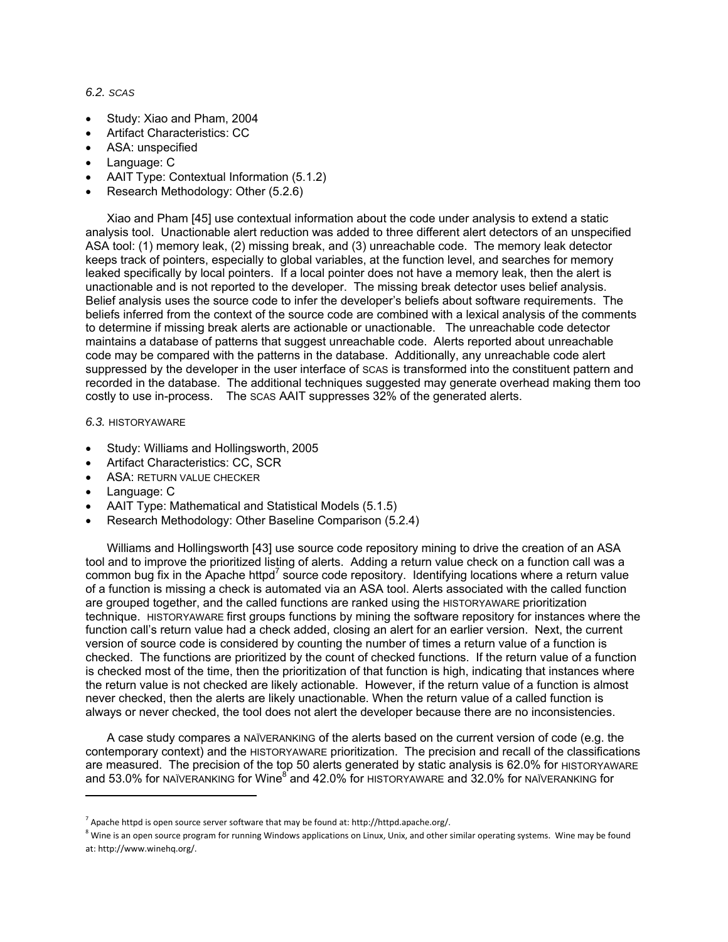## *6.2. SCAS*

- Study: Xiao and Pham, 2004
- Artifact Characteristics: CC
- ASA: unspecified
- Language: C
- AAIT Type: Contextual Information (5.1.2)
- Research Methodology: Other (5.2.6)

Xiao and Pham [45] use contextual information about the code under analysis to extend a static analysis tool. Unactionable alert reduction was added to three different alert detectors of an unspecified ASA tool: (1) memory leak, (2) missing break, and (3) unreachable code. The memory leak detector keeps track of pointers, especially to global variables, at the function level, and searches for memory leaked specifically by local pointers. If a local pointer does not have a memory leak, then the alert is unactionable and is not reported to the developer. The missing break detector uses belief analysis. Belief analysis uses the source code to infer the developer's beliefs about software requirements. The beliefs inferred from the context of the source code are combined with a lexical analysis of the comments to determine if missing break alerts are actionable or unactionable. The unreachable code detector maintains a database of patterns that suggest unreachable code. Alerts reported about unreachable code may be compared with the patterns in the database. Additionally, any unreachable code alert suppressed by the developer in the user interface of SCAS is transformed into the constituent pattern and recorded in the database. The additional techniques suggested may generate overhead making them too costly to use in-process. The SCAS AAIT suppresses 32% of the generated alerts.

## *6.3.* HISTORYAWARE

- Study: Williams and Hollingsworth, 2005
- Artifact Characteristics: CC, SCR
- ASA: RETURN VALUE CHECKER

- Language: C
- AAIT Type: Mathematical and Statistical Models (5.1.5)
- Research Methodology: Other Baseline Comparison (5.2.4)

Williams and Hollingsworth [43] use source code repository mining to drive the creation of an ASA tool and to improve the prioritized listing of alerts. Adding a return value check on a function call was a common bug fix in the Apache httpd<sup>7</sup> source code repository. Identifying locations where a return value of a function is missing a check is automated via an ASA tool. Alerts associated with the called function are grouped together, and the called functions are ranked using the HISTORYAWARE prioritization technique. HISTORYAWARE first groups functions by mining the software repository for instances where the function call's return value had a check added, closing an alert for an earlier version. Next, the current version of source code is considered by counting the number of times a return value of a function is checked. The functions are prioritized by the count of checked functions. If the return value of a function is checked most of the time, then the prioritization of that function is high, indicating that instances where the return value is not checked are likely actionable. However, if the return value of a function is almost never checked, then the alerts are likely unactionable. When the return value of a called function is always or never checked, the tool does not alert the developer because there are no inconsistencies.

A case study compares a NAÏVERANKING of the alerts based on the current version of code (e.g. the contemporary context) and the HISTORYAWARE prioritization. The precision and recall of the classifications are measured. The precision of the top 50 alerts generated by static analysis is 62.0% for HISTORYAWARE and 53.0% for NAÏVERANKING for Wine<sup>8</sup> and 42.0% for HISTORYAWARE and 32.0% for NAÏVERANKING for

 $^7$  Apache httpd is open source server software that may be found at: http://httpd.apache.org/.

<sup>&</sup>lt;sup>8</sup> Wine is an open source program for running Windows applications on Linux, Unix, and other similar operating systems. Wine may be found at: http://www.winehq.org/.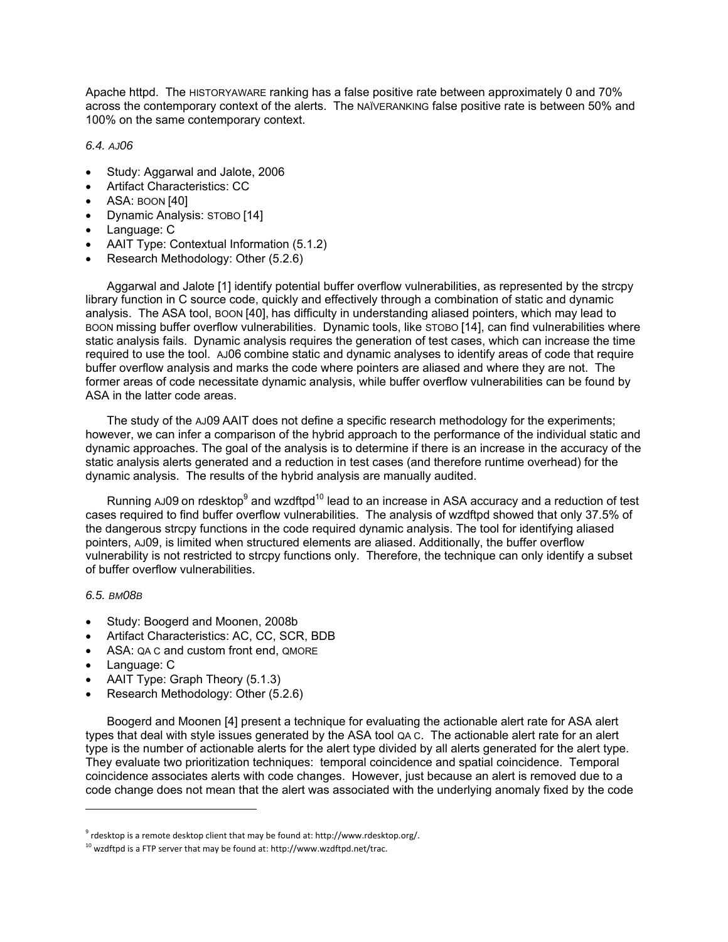Apache httpd. The HISTORYAWARE ranking has a false positive rate between approximately 0 and 70% across the contemporary context of the alerts. The NAÏVERANKING false positive rate is between 50% and 100% on the same contemporary context.

*6.4. AJ06* 

- Study: Aggarwal and Jalote, 2006
- Artifact Characteristics: CC
- ASA: BOON [40]
- Dynamic Analysis: STOBO [14]
- Language: C
- AAIT Type: Contextual Information (5.1.2)
- Research Methodology: Other (5.2.6)

Aggarwal and Jalote [1] identify potential buffer overflow vulnerabilities, as represented by the strcpy library function in C source code, quickly and effectively through a combination of static and dynamic analysis. The ASA tool, BOON [40], has difficulty in understanding aliased pointers, which may lead to BOON missing buffer overflow vulnerabilities. Dynamic tools, like STOBO [14], can find vulnerabilities where static analysis fails. Dynamic analysis requires the generation of test cases, which can increase the time required to use the tool. AJ06 combine static and dynamic analyses to identify areas of code that require buffer overflow analysis and marks the code where pointers are aliased and where they are not. The former areas of code necessitate dynamic analysis, while buffer overflow vulnerabilities can be found by ASA in the latter code areas.

The study of the AJ09 AAIT does not define a specific research methodology for the experiments; however, we can infer a comparison of the hybrid approach to the performance of the individual static and dynamic approaches. The goal of the analysis is to determine if there is an increase in the accuracy of the static analysis alerts generated and a reduction in test cases (and therefore runtime overhead) for the dynamic analysis. The results of the hybrid analysis are manually audited.

Running AJ09 on rdesktop<sup>9</sup> and wzdftpd<sup>10</sup> lead to an increase in ASA accuracy and a reduction of test cases required to find buffer overflow vulnerabilities. The analysis of wzdftpd showed that only 37.5% of the dangerous strcpy functions in the code required dynamic analysis. The tool for identifying aliased pointers, AJ09, is limited when structured elements are aliased. Additionally, the buffer overflow vulnerability is not restricted to strcpy functions only. Therefore, the technique can only identify a subset of buffer overflow vulnerabilities.

# *6.5. BM08B*

- Study: Boogerd and Moonen, 2008b
- Artifact Characteristics: AC, CC, SCR, BDB
- ASA: QA C and custom front end, QMORE
- Language: C
- AAIT Type: Graph Theory (5.1.3)

• Research Methodology: Other (5.2.6)

Boogerd and Moonen [4] present a technique for evaluating the actionable alert rate for ASA alert types that deal with style issues generated by the ASA tool QA C. The actionable alert rate for an alert type is the number of actionable alerts for the alert type divided by all alerts generated for the alert type. They evaluate two prioritization techniques: temporal coincidence and spatial coincidence. Temporal coincidence associates alerts with code changes. However, just because an alert is removed due to a code change does not mean that the alert was associated with the underlying anomaly fixed by the code

 $9$  rdesktop is a remote desktop client that may be found at: http://www.rdesktop.org/.

 $10$  wzdftpd is a FTP server that may be found at: http://www.wzdftpd.net/trac.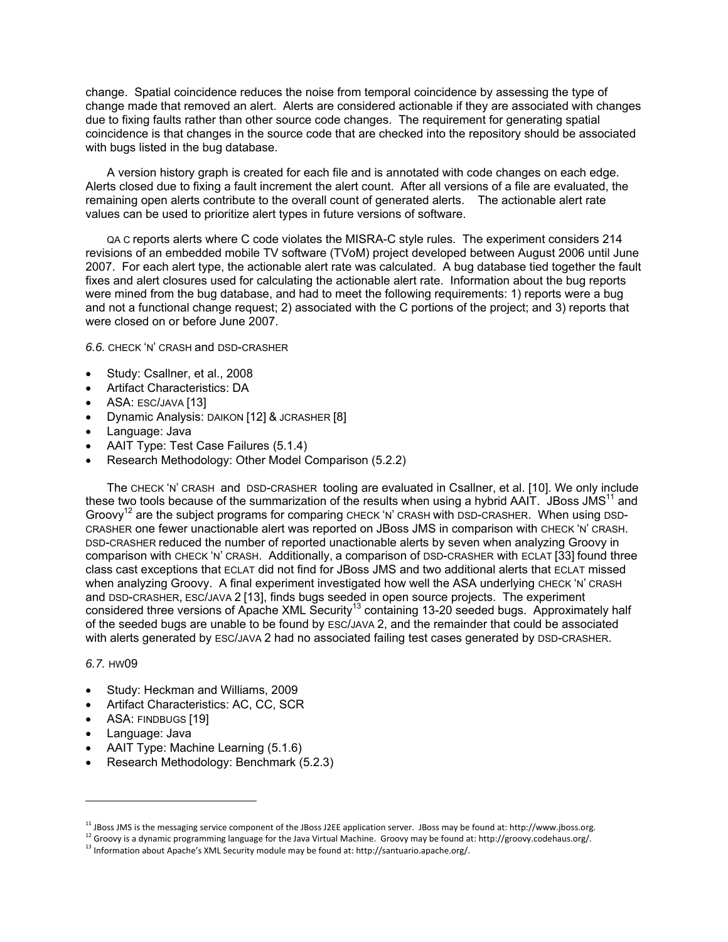change. Spatial coincidence reduces the noise from temporal coincidence by assessing the type of change made that removed an alert. Alerts are considered actionable if they are associated with changes due to fixing faults rather than other source code changes. The requirement for generating spatial coincidence is that changes in the source code that are checked into the repository should be associated with bugs listed in the bug database.

A version history graph is created for each file and is annotated with code changes on each edge. Alerts closed due to fixing a fault increment the alert count. After all versions of a file are evaluated, the remaining open alerts contribute to the overall count of generated alerts. The actionable alert rate values can be used to prioritize alert types in future versions of software.

QA C reports alerts where C code violates the MISRA-C style rules. The experiment considers 214 revisions of an embedded mobile TV software (TVoM) project developed between August 2006 until June 2007. For each alert type, the actionable alert rate was calculated. A bug database tied together the fault fixes and alert closures used for calculating the actionable alert rate. Information about the bug reports were mined from the bug database, and had to meet the following requirements: 1) reports were a bug and not a functional change request; 2) associated with the C portions of the project; and 3) reports that were closed on or before June 2007.

*6.6.* CHECK 'N' CRASH and DSD-CRASHER

- Study: Csallner, et al., 2008
- Artifact Characteristics: DA
- ASA: ESC/JAVA [13]
- Dynamic Analysis: DAIKON [12] & JCRASHER [8]
- Language: Java
- AAIT Type: Test Case Failures (5.1.4)
- Research Methodology: Other Model Comparison (5.2.2)

The CHECK 'N' CRASH and DSD-CRASHER tooling are evaluated in Csallner, et al. [10]. We only include these two tools because of the summarization of the results when using a hybrid AAIT. JBoss JMS<sup>11</sup> and Groovy<sup>12</sup> are the subject programs for comparing CHECK 'N' CRASH with DSD-CRASHER. When using DSD-CRASHER one fewer unactionable alert was reported on JBoss JMS in comparison with CHECK 'N' CRASH. DSD-CRASHER reduced the number of reported unactionable alerts by seven when analyzing Groovy in comparison with CHECK 'N' CRASH. Additionally, a comparison of DSD-CRASHER with ECLAT [33] found three class cast exceptions that ECLAT did not find for JBoss JMS and two additional alerts that ECLAT missed when analyzing Groovy. A final experiment investigated how well the ASA underlying CHECK 'N' CRASH and DSD-CRASHER, ESC/JAVA 2 [13], finds bugs seeded in open source projects. The experiment considered three versions of Apache XML Security<sup>13</sup> containing 13-20 seeded bugs. Approximately half of the seeded bugs are unable to be found by ESC/JAVA 2, and the remainder that could be associated with alerts generated by ESC/JAVA 2 had no associated failing test cases generated by DSD-CRASHER.

*6.7.* HW09

- Study: Heckman and Williams, 2009
- Artifact Characteristics: AC, CC, SCR
- ASA: FINDBUGS [19]
- Language: Java
- AAIT Type: Machine Learning (5.1.6)

• Research Methodology: Benchmark (5.2.3)

<sup>&</sup>lt;sup>11</sup> JBoss JMS is the messaging service component of the JBoss J2EE application server. JBoss may be found at: http://www.jboss.org.<br><sup>12</sup> Groovv is a dynamic programming language for the Java Virtual Machine. Groovy may b

<sup>13</sup> Information about Apache's XML Security module may be found at: http://santuario.apache.org/.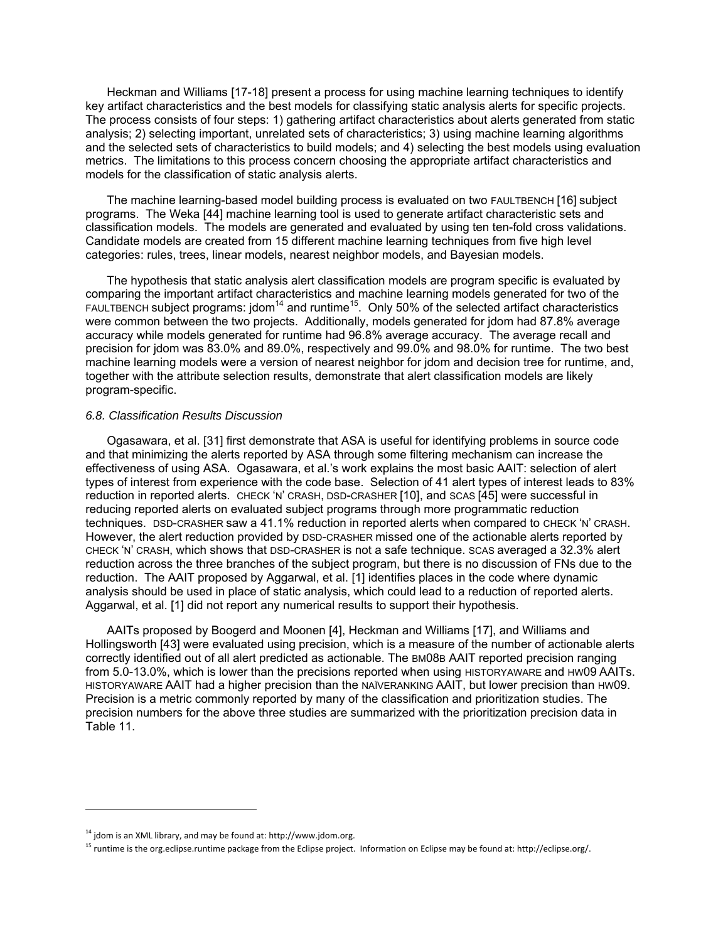Heckman and Williams [17-18] present a process for using machine learning techniques to identify key artifact characteristics and the best models for classifying static analysis alerts for specific projects. The process consists of four steps: 1) gathering artifact characteristics about alerts generated from static analysis; 2) selecting important, unrelated sets of characteristics; 3) using machine learning algorithms and the selected sets of characteristics to build models; and 4) selecting the best models using evaluation metrics. The limitations to this process concern choosing the appropriate artifact characteristics and models for the classification of static analysis alerts.

The machine learning-based model building process is evaluated on two FAULTBENCH [16] subject programs. The Weka [44] machine learning tool is used to generate artifact characteristic sets and classification models. The models are generated and evaluated by using ten ten-fold cross validations. Candidate models are created from 15 different machine learning techniques from five high level categories: rules, trees, linear models, nearest neighbor models, and Bayesian models.

The hypothesis that static analysis alert classification models are program specific is evaluated by comparing the important artifact characteristics and machine learning models generated for two of the FAULTBENCH subject programs: jdom<sup>14</sup> and runtime<sup>15</sup>. Only 50% of the selected artifact characteristics were common between the two projects. Additionally, models generated for jdom had 87.8% average accuracy while models generated for runtime had 96.8% average accuracy. The average recall and precision for jdom was 83.0% and 89.0%, respectively and 99.0% and 98.0% for runtime. The two best machine learning models were a version of nearest neighbor for jdom and decision tree for runtime, and, together with the attribute selection results, demonstrate that alert classification models are likely program-specific.

## *6.8. Classification Results Discussion*

Ogasawara, et al. [31] first demonstrate that ASA is useful for identifying problems in source code and that minimizing the alerts reported by ASA through some filtering mechanism can increase the effectiveness of using ASA. Ogasawara, et al.'s work explains the most basic AAIT: selection of alert types of interest from experience with the code base. Selection of 41 alert types of interest leads to 83% reduction in reported alerts. CHECK 'N' CRASH, DSD-CRASHER [10], and SCAS [45] were successful in reducing reported alerts on evaluated subject programs through more programmatic reduction techniques. DSD-CRASHER saw a 41.1% reduction in reported alerts when compared to CHECK 'N' CRASH. However, the alert reduction provided by DSD-CRASHER missed one of the actionable alerts reported by CHECK 'N' CRASH, which shows that DSD-CRASHER is not a safe technique. SCAS averaged a 32.3% alert reduction across the three branches of the subject program, but there is no discussion of FNs due to the reduction. The AAIT proposed by Aggarwal, et al. [1] identifies places in the code where dynamic analysis should be used in place of static analysis, which could lead to a reduction of reported alerts. Aggarwal, et al. [1] did not report any numerical results to support their hypothesis.

AAITs proposed by Boogerd and Moonen [4], Heckman and Williams [17], and Williams and Hollingsworth [43] were evaluated using precision, which is a measure of the number of actionable alerts correctly identified out of all alert predicted as actionable. The BM08B AAIT reported precision ranging from 5.0-13.0%, which is lower than the precisions reported when using HISTORYAWARE and HW09 AAITs. HISTORYAWARE AAIT had a higher precision than the NAÏVERANKING AAIT, but lower precision than HW09. Precision is a metric commonly reported by many of the classification and prioritization studies. The precision numbers for the above three studies are summarized with the prioritization precision data in Table 11.

 $14$  jdom is an XML library, and may be found at: http://www.jdom.org.

<sup>&</sup>lt;sup>15</sup> runtime is the org.eclipse.runtime package from the Eclipse project. Information on Eclipse may be found at: http://eclipse.org/.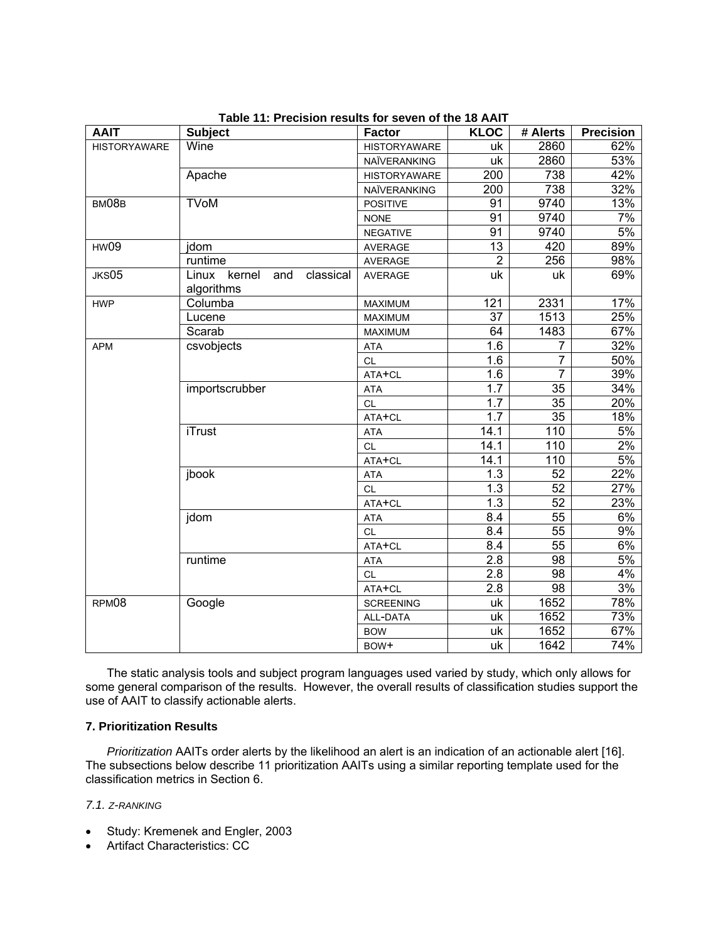| <b>AAIT</b>         | <b>Subject</b>                                    | <b>Factor</b>       | <b>KLOC</b>    | # Alerts       | <b>Precision</b> |
|---------------------|---------------------------------------------------|---------------------|----------------|----------------|------------------|
| <b>HISTORYAWARE</b> | Wine                                              | <b>HISTORYAWARE</b> | uk             | 2860           | 62%              |
|                     |                                                   | NAÏVERANKING        | uk             | 2860           | 53%              |
|                     | Apache                                            | <b>HISTORYAWARE</b> | 200            | 738            | 42%              |
|                     |                                                   | NAÏVERANKING        | 200            | 738            | 32%              |
| BM08B               | <b>TVoM</b>                                       | <b>POSITIVE</b>     | 91             | 9740           | 13%              |
|                     |                                                   | <b>NONE</b>         | 91             | 9740           | 7%               |
|                     |                                                   | <b>NEGATIVE</b>     | 91             | 9740           | 5%               |
| <b>HW09</b>         | jdom                                              | AVERAGE             | 13             | 420            | 89%              |
|                     | runtime                                           | AVERAGE             | $\overline{2}$ | 256            | 98%              |
| JKS05               | Linux<br>kernel<br>and<br>classical<br>algorithms | AVERAGE             | uk             | uk             | 69%              |
| <b>HWP</b>          | Columba                                           | MAXIMUM             | 121            | 2331           | 17%              |
|                     | Lucene                                            | <b>MAXIMUM</b>      | 37             | 1513           | 25%              |
|                     | Scarab                                            | <b>MAXIMUM</b>      | 64             | 1483           | 67%              |
| <b>APM</b>          | csvobjects                                        | <b>ATA</b>          | 1.6            | 7              | 32%              |
|                     |                                                   | <b>CL</b>           | 1.6            | 7              | 50%              |
|                     |                                                   | ATA+CL              | 1.6            | $\overline{7}$ | 39%              |
|                     | importscrubber                                    | ATA                 | 1.7            | 35             | 34%              |
|                     |                                                   | <b>CL</b>           | 1.7            | 35             | 20%              |
|                     |                                                   | ATA+CL              | 1.7            | 35             | 18%              |
|                     | iTrust                                            | ATA                 | 14.1           | 110            | 5%               |
|                     |                                                   | <b>CL</b>           | 14.1           | 110            | 2%               |
|                     |                                                   | ATA+CL              | 14.1           | 110            | 5%               |
|                     | jbook                                             | <b>ATA</b>          | 1.3            | 52             | 22%              |
|                     |                                                   | <b>CL</b>           | 1.3            | 52             | 27%              |
|                     |                                                   | ATA+CL              | 1.3            | 52             | 23%              |
|                     | jdom                                              | <b>ATA</b>          | 8.4            | 55             | 6%               |
|                     |                                                   | <b>CL</b>           | 8.4            | 55             | 9%               |
|                     |                                                   | ATA+CL              | 8.4            | 55             | 6%               |
|                     | runtime                                           | <b>ATA</b>          | 2.8            | 98             | 5%               |
|                     |                                                   | <b>CL</b>           | 2.8            | 98             | 4%               |
|                     |                                                   | ATA+CL              | 2.8            | 98             | 3%               |
| RPM08               | Google                                            | <b>SCREENING</b>    | uk             | 1652           | 78%              |
|                     |                                                   | ALL-DATA            | uk             | 1652           | 73%              |
|                     |                                                   | <b>BOW</b>          | uk             | 1652           | 67%              |
|                     |                                                   | BOW <sup>+</sup>    | uk             | 1642           | 74%              |

**Table 11: Precision results for seven of the 18 AAIT** 

The static analysis tools and subject program languages used varied by study, which only allows for some general comparison of the results. However, the overall results of classification studies support the use of AAIT to classify actionable alerts.

# **7. Prioritization Results**

*Prioritization* AAITs order alerts by the likelihood an alert is an indication of an actionable alert [16]. The subsections below describe 11 prioritization AAITs using a similar reporting template used for the classification metrics in Section 6.

# *7.1. Z-RANKING*

- Study: Kremenek and Engler, 2003
- Artifact Characteristics: CC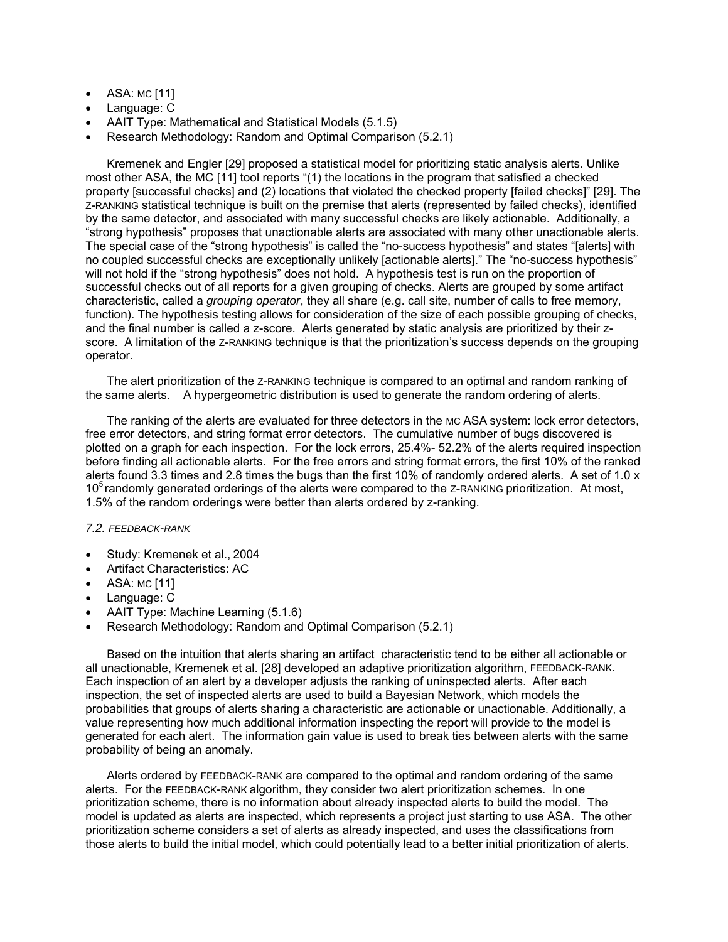- ASA: MC [11]
- Language: C
- AAIT Type: Mathematical and Statistical Models (5.1.5)
- Research Methodology: Random and Optimal Comparison (5.2.1)

Kremenek and Engler [29] proposed a statistical model for prioritizing static analysis alerts. Unlike most other ASA, the MC [11] tool reports "(1) the locations in the program that satisfied a checked property [successful checks] and (2) locations that violated the checked property [failed checks]" [29]. The Z-RANKING statistical technique is built on the premise that alerts (represented by failed checks), identified by the same detector, and associated with many successful checks are likely actionable. Additionally, a "strong hypothesis" proposes that unactionable alerts are associated with many other unactionable alerts. The special case of the "strong hypothesis" is called the "no-success hypothesis" and states "[alerts] with no coupled successful checks are exceptionally unlikely [actionable alerts]." The "no-success hypothesis" will not hold if the "strong hypothesis" does not hold. A hypothesis test is run on the proportion of successful checks out of all reports for a given grouping of checks. Alerts are grouped by some artifact characteristic, called a *grouping operator*, they all share (e.g. call site, number of calls to free memory, function). The hypothesis testing allows for consideration of the size of each possible grouping of checks, and the final number is called a z-score. Alerts generated by static analysis are prioritized by their zscore. A limitation of the *z*-RANKING technique is that the prioritization's success depends on the grouping operator.

The alert prioritization of the Z-RANKING technique is compared to an optimal and random ranking of the same alerts. A hypergeometric distribution is used to generate the random ordering of alerts.

The ranking of the alerts are evaluated for three detectors in the MC ASA system: lock error detectors, free error detectors, and string format error detectors. The cumulative number of bugs discovered is plotted on a graph for each inspection. For the lock errors, 25.4%- 52.2% of the alerts required inspection before finding all actionable alerts. For the free errors and string format errors, the first 10% of the ranked alerts found 3.3 times and 2.8 times the bugs than the first 10% of randomly ordered alerts. A set of 1.0 x 10<sup>5</sup> randomly generated orderings of the alerts were compared to the *z*-RANKING prioritization. At most, 1.5% of the random orderings were better than alerts ordered by z-ranking.

# *7.2. FEEDBACK-RANK*

- Study: Kremenek et al., 2004
- Artifact Characteristics: AC
- ASA: MC [11]
- Language: C
- AAIT Type: Machine Learning (5.1.6)
- Research Methodology: Random and Optimal Comparison (5.2.1)

Based on the intuition that alerts sharing an artifact characteristic tend to be either all actionable or all unactionable, Kremenek et al. [28] developed an adaptive prioritization algorithm, FEEDBACK-RANK. Each inspection of an alert by a developer adjusts the ranking of uninspected alerts. After each inspection, the set of inspected alerts are used to build a Bayesian Network, which models the probabilities that groups of alerts sharing a characteristic are actionable or unactionable. Additionally, a value representing how much additional information inspecting the report will provide to the model is generated for each alert. The information gain value is used to break ties between alerts with the same probability of being an anomaly.

Alerts ordered by FEEDBACK-RANK are compared to the optimal and random ordering of the same alerts. For the FEEDBACK-RANK algorithm, they consider two alert prioritization schemes. In one prioritization scheme, there is no information about already inspected alerts to build the model. The model is updated as alerts are inspected, which represents a project just starting to use ASA. The other prioritization scheme considers a set of alerts as already inspected, and uses the classifications from those alerts to build the initial model, which could potentially lead to a better initial prioritization of alerts.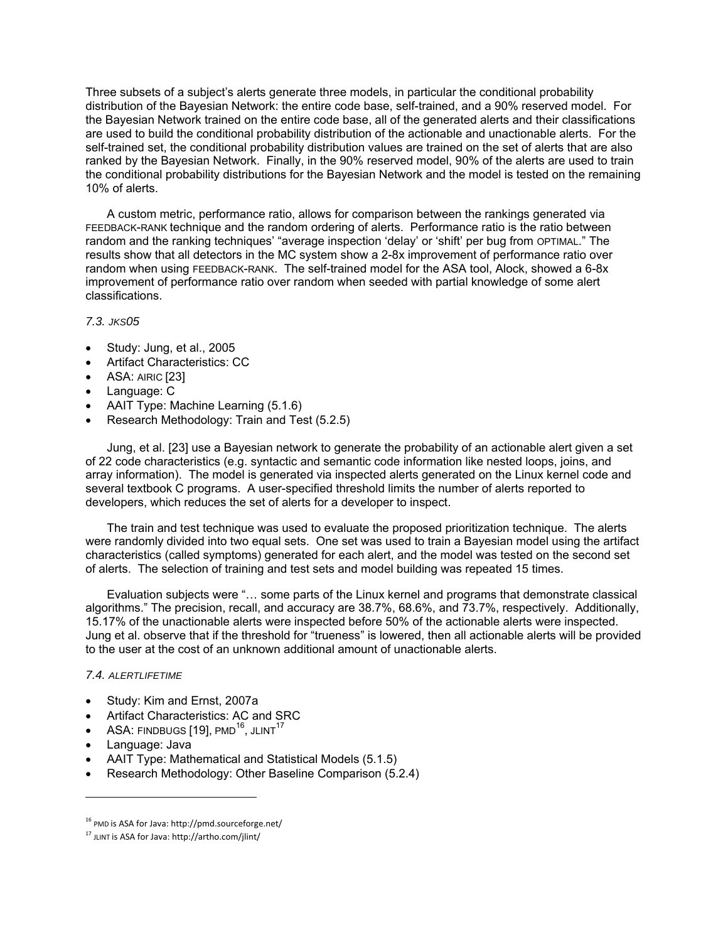Three subsets of a subject's alerts generate three models, in particular the conditional probability distribution of the Bayesian Network: the entire code base, self-trained, and a 90% reserved model. For the Bayesian Network trained on the entire code base, all of the generated alerts and their classifications are used to build the conditional probability distribution of the actionable and unactionable alerts. For the self-trained set, the conditional probability distribution values are trained on the set of alerts that are also ranked by the Bayesian Network. Finally, in the 90% reserved model, 90% of the alerts are used to train the conditional probability distributions for the Bayesian Network and the model is tested on the remaining 10% of alerts.

A custom metric, performance ratio, allows for comparison between the rankings generated via FEEDBACK-RANK technique and the random ordering of alerts. Performance ratio is the ratio between random and the ranking techniques' "average inspection 'delay' or 'shift' per bug from OPTIMAL." The results show that all detectors in the MC system show a 2-8x improvement of performance ratio over random when using FEEDBACK-RANK. The self-trained model for the ASA tool, Alock, showed a 6-8x improvement of performance ratio over random when seeded with partial knowledge of some alert classifications.

*7.3. JKS05* 

- Study: Jung, et al., 2005
- Artifact Characteristics: CC
- ASA: AIRIC [23]
- Language: C
- AAIT Type: Machine Learning (5.1.6)
- Research Methodology: Train and Test (5.2.5)

Jung, et al. [23] use a Bayesian network to generate the probability of an actionable alert given a set of 22 code characteristics (e.g. syntactic and semantic code information like nested loops, joins, and array information). The model is generated via inspected alerts generated on the Linux kernel code and several textbook C programs. A user-specified threshold limits the number of alerts reported to developers, which reduces the set of alerts for a developer to inspect.

The train and test technique was used to evaluate the proposed prioritization technique. The alerts were randomly divided into two equal sets. One set was used to train a Bayesian model using the artifact characteristics (called symptoms) generated for each alert, and the model was tested on the second set of alerts. The selection of training and test sets and model building was repeated 15 times.

Evaluation subjects were "… some parts of the Linux kernel and programs that demonstrate classical algorithms." The precision, recall, and accuracy are 38.7%, 68.6%, and 73.7%, respectively. Additionally, 15.17% of the unactionable alerts were inspected before 50% of the actionable alerts were inspected. Jung et al. observe that if the threshold for "trueness" is lowered, then all actionable alerts will be provided to the user at the cost of an unknown additional amount of unactionable alerts.

## *7.4. ALERTLIFETIME*

- Study: Kim and Ernst, 2007a
- Artifact Characteristics: AC and SRC
- ASA: FINDBUGS [19], PMD<sup>16</sup>, JLINT<sup>17</sup>
- Language: Java
- AAIT Type: Mathematical and Statistical Models (5.1.5)
- Research Methodology: Other Baseline Comparison (5.2.4)

<sup>16</sup> PMD is ASA for Java: http://pmd.sourceforge.net/

<sup>17</sup> JLINT is ASA for Java: http://artho.com/jlint/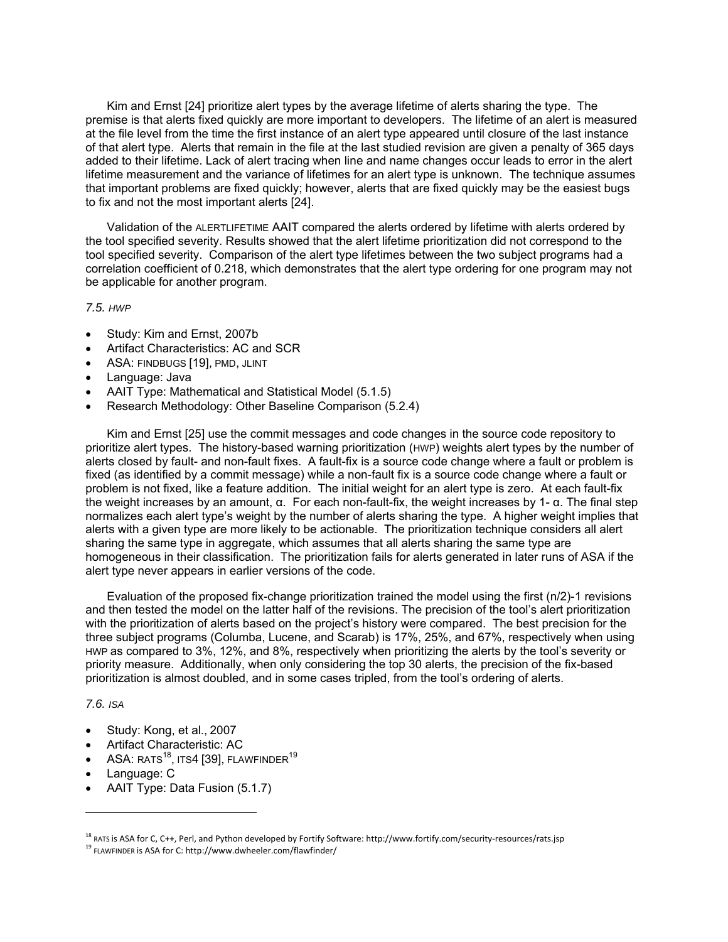Kim and Ernst [24] prioritize alert types by the average lifetime of alerts sharing the type. The premise is that alerts fixed quickly are more important to developers. The lifetime of an alert is measured at the file level from the time the first instance of an alert type appeared until closure of the last instance of that alert type. Alerts that remain in the file at the last studied revision are given a penalty of 365 days added to their lifetime. Lack of alert tracing when line and name changes occur leads to error in the alert lifetime measurement and the variance of lifetimes for an alert type is unknown. The technique assumes that important problems are fixed quickly; however, alerts that are fixed quickly may be the easiest bugs to fix and not the most important alerts [24].

Validation of the ALERTLIFETIME AAIT compared the alerts ordered by lifetime with alerts ordered by the tool specified severity. Results showed that the alert lifetime prioritization did not correspond to the tool specified severity. Comparison of the alert type lifetimes between the two subject programs had a correlation coefficient of 0.218, which demonstrates that the alert type ordering for one program may not be applicable for another program.

#### *7.5. HWP*

- Study: Kim and Ernst, 2007b
- Artifact Characteristics: AC and SCR
- ASA: FINDBUGS [19], PMD, JLINT
- Language: Java
- AAIT Type: Mathematical and Statistical Model (5.1.5)
- Research Methodology: Other Baseline Comparison (5.2.4)

Kim and Ernst [25] use the commit messages and code changes in the source code repository to prioritize alert types. The history-based warning prioritization (HWP) weights alert types by the number of alerts closed by fault- and non-fault fixes. A fault-fix is a source code change where a fault or problem is fixed (as identified by a commit message) while a non-fault fix is a source code change where a fault or problem is not fixed, like a feature addition. The initial weight for an alert type is zero. At each fault-fix the weight increases by an amount, α. For each non-fault-fix, the weight increases by 1- α. The final step normalizes each alert type's weight by the number of alerts sharing the type. A higher weight implies that alerts with a given type are more likely to be actionable. The prioritization technique considers all alert sharing the same type in aggregate, which assumes that all alerts sharing the same type are homogeneous in their classification. The prioritization fails for alerts generated in later runs of ASA if the alert type never appears in earlier versions of the code.

Evaluation of the proposed fix-change prioritization trained the model using the first (n/2)-1 revisions and then tested the model on the latter half of the revisions. The precision of the tool's alert prioritization with the prioritization of alerts based on the project's history were compared. The best precision for the three subject programs (Columba, Lucene, and Scarab) is 17%, 25%, and 67%, respectively when using HWP as compared to 3%, 12%, and 8%, respectively when prioritizing the alerts by the tool's severity or priority measure. Additionally, when only considering the top 30 alerts, the precision of the fix-based prioritization is almost doubled, and in some cases tripled, from the tool's ordering of alerts.

# *7.6. ISA*

- Study: Kong, et al., 2007
- Artifact Characteristic: AC
- ASA: RATS<sup>18</sup>, ITS4 [39], FLAWFINDER<sup>19</sup>
- Language: C
- AAIT Type: Data Fusion (5.1.7)

<sup>18</sup> RATS is ASA for C, C++, Perl, and Python developed by Fortify Software: http://www.fortify.com/security-resources/rats.jsp

<sup>19</sup> FLAWFINDER is ASA for C: http://www.dwheeler.com/flawfinder/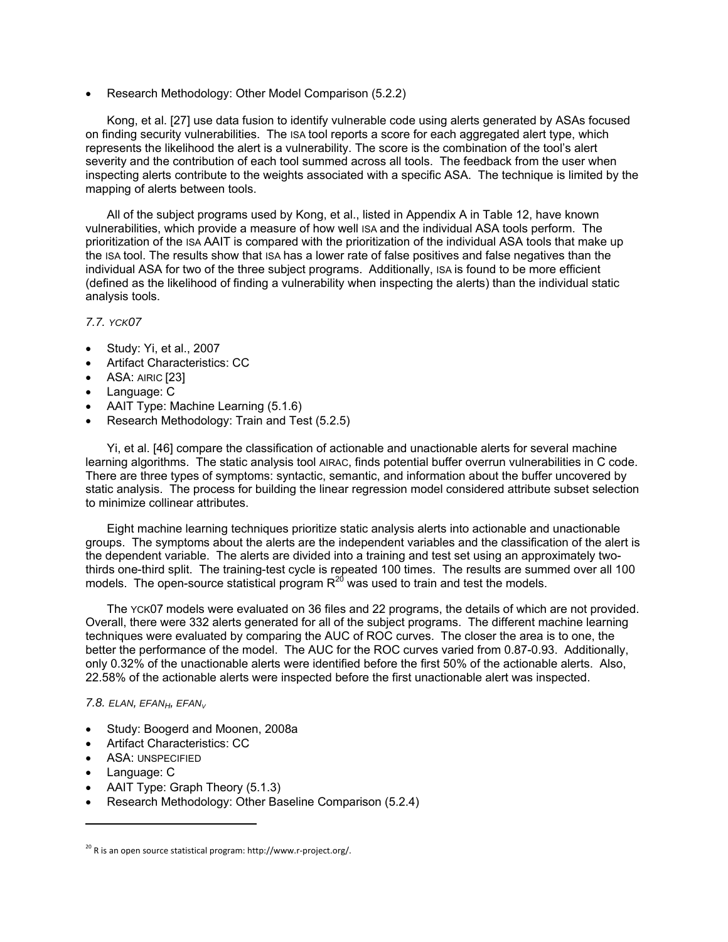• Research Methodology: Other Model Comparison (5.2.2)

Kong, et al. [27] use data fusion to identify vulnerable code using alerts generated by ASAs focused on finding security vulnerabilities. The ISA tool reports a score for each aggregated alert type, which represents the likelihood the alert is a vulnerability. The score is the combination of the tool's alert severity and the contribution of each tool summed across all tools. The feedback from the user when inspecting alerts contribute to the weights associated with a specific ASA. The technique is limited by the mapping of alerts between tools.

All of the subject programs used by Kong, et al., listed in Appendix A in Table 12, have known vulnerabilities, which provide a measure of how well ISA and the individual ASA tools perform. The prioritization of the ISA AAIT is compared with the prioritization of the individual ASA tools that make up the ISA tool. The results show that ISA has a lower rate of false positives and false negatives than the individual ASA for two of the three subject programs. Additionally, ISA is found to be more efficient (defined as the likelihood of finding a vulnerability when inspecting the alerts) than the individual static analysis tools.

# *7.7. YCK07*

- Study: Yi, et al., 2007
- Artifact Characteristics: CC
- ASA: AIRIC [23]
- Language: C
- AAIT Type: Machine Learning (5.1.6)
- Research Methodology: Train and Test (5.2.5)

Yi, et al. [46] compare the classification of actionable and unactionable alerts for several machine learning algorithms. The static analysis tool AIRAC, finds potential buffer overrun vulnerabilities in C code. There are three types of symptoms: syntactic, semantic, and information about the buffer uncovered by static analysis. The process for building the linear regression model considered attribute subset selection to minimize collinear attributes.

Eight machine learning techniques prioritize static analysis alerts into actionable and unactionable groups. The symptoms about the alerts are the independent variables and the classification of the alert is the dependent variable. The alerts are divided into a training and test set using an approximately twothirds one-third split. The training-test cycle is repeated 100 times. The results are summed over all 100 models. The open-source statistical program  $R^{20}$  was used to train and test the models.

The YCK07 models were evaluated on 36 files and 22 programs, the details of which are not provided. Overall, there were 332 alerts generated for all of the subject programs. The different machine learning techniques were evaluated by comparing the AUC of ROC curves. The closer the area is to one, the better the performance of the model. The AUC for the ROC curves varied from 0.87-0.93. Additionally, only 0.32% of the unactionable alerts were identified before the first 50% of the actionable alerts. Also, 22.58% of the actionable alerts were inspected before the first unactionable alert was inspected.

# 7.8. ELAN, EFAN<sub>H</sub>, EFAN<sub>V</sub>

- Study: Boogerd and Moonen, 2008a
- Artifact Characteristics: CC
- **ASA: UNSPECIFIED**
- Language: C
- AAIT Type: Graph Theory (5.1.3)

• Research Methodology: Other Baseline Comparison (5.2.4)

 $^{20}$  R is an open source statistical program: http://www.r-project.org/.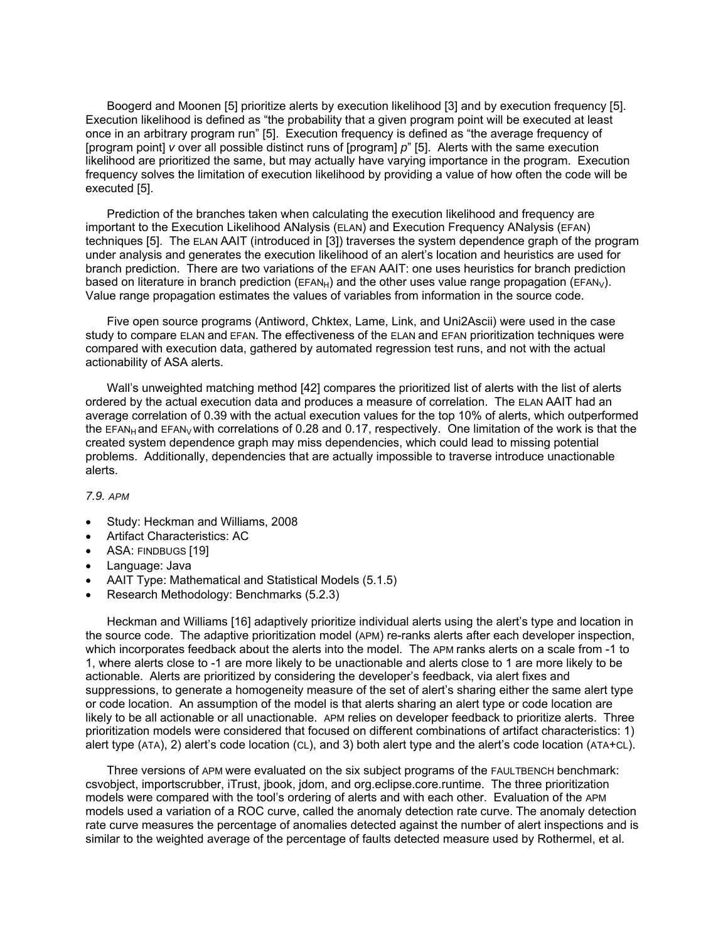Boogerd and Moonen [5] prioritize alerts by execution likelihood [3] and by execution frequency [5]. Execution likelihood is defined as "the probability that a given program point will be executed at least once in an arbitrary program run" [5]. Execution frequency is defined as "the average frequency of [program point] *v* over all possible distinct runs of [program] *p*" [5]. Alerts with the same execution likelihood are prioritized the same, but may actually have varying importance in the program. Execution frequency solves the limitation of execution likelihood by providing a value of how often the code will be executed [5].

Prediction of the branches taken when calculating the execution likelihood and frequency are important to the Execution Likelihood ANalysis (ELAN) and Execution Frequency ANalysis (EFAN) techniques [5]. The ELAN AAIT (introduced in [3]) traverses the system dependence graph of the program under analysis and generates the execution likelihood of an alert's location and heuristics are used for branch prediction. There are two variations of the EFAN AAIT: one uses heuristics for branch prediction based on literature in branch prediction ( $EFAN_H$ ) and the other uses value range propagation ( $EFAN_V$ ). Value range propagation estimates the values of variables from information in the source code.

Five open source programs (Antiword, Chktex, Lame, Link, and Uni2Ascii) were used in the case study to compare ELAN and EFAN. The effectiveness of the ELAN and EFAN prioritization techniques were compared with execution data, gathered by automated regression test runs, and not with the actual actionability of ASA alerts.

Wall's unweighted matching method [42] compares the prioritized list of alerts with the list of alerts ordered by the actual execution data and produces a measure of correlation. The ELAN AAIT had an average correlation of 0.39 with the actual execution values for the top 10% of alerts, which outperformed the  $EFAN_H$  and  $EFAN_V$  with correlations of 0.28 and 0.17, respectively. One limitation of the work is that the created system dependence graph may miss dependencies, which could lead to missing potential problems. Additionally, dependencies that are actually impossible to traverse introduce unactionable alerts.

## *7.9. APM*

- Study: Heckman and Williams, 2008
- Artifact Characteristics: AC
- ASA: FINDBUGS [19]
- Language: Java
- AAIT Type: Mathematical and Statistical Models (5.1.5)
- Research Methodology: Benchmarks (5.2.3)

Heckman and Williams [16] adaptively prioritize individual alerts using the alert's type and location in the source code. The adaptive prioritization model (APM) re-ranks alerts after each developer inspection, which incorporates feedback about the alerts into the model. The APM ranks alerts on a scale from -1 to 1, where alerts close to -1 are more likely to be unactionable and alerts close to 1 are more likely to be actionable. Alerts are prioritized by considering the developer's feedback, via alert fixes and suppressions, to generate a homogeneity measure of the set of alert's sharing either the same alert type or code location. An assumption of the model is that alerts sharing an alert type or code location are likely to be all actionable or all unactionable. APM relies on developer feedback to prioritize alerts. Three prioritization models were considered that focused on different combinations of artifact characteristics: 1) alert type (ATA), 2) alert's code location (CL), and 3) both alert type and the alert's code location (ATA+CL).

Three versions of APM were evaluated on the six subject programs of the FAULTBENCH benchmark: csvobject, importscrubber, iTrust, jbook, jdom, and org.eclipse.core.runtime. The three prioritization models were compared with the tool's ordering of alerts and with each other. Evaluation of the APM models used a variation of a ROC curve, called the anomaly detection rate curve. The anomaly detection rate curve measures the percentage of anomalies detected against the number of alert inspections and is similar to the weighted average of the percentage of faults detected measure used by Rothermel, et al.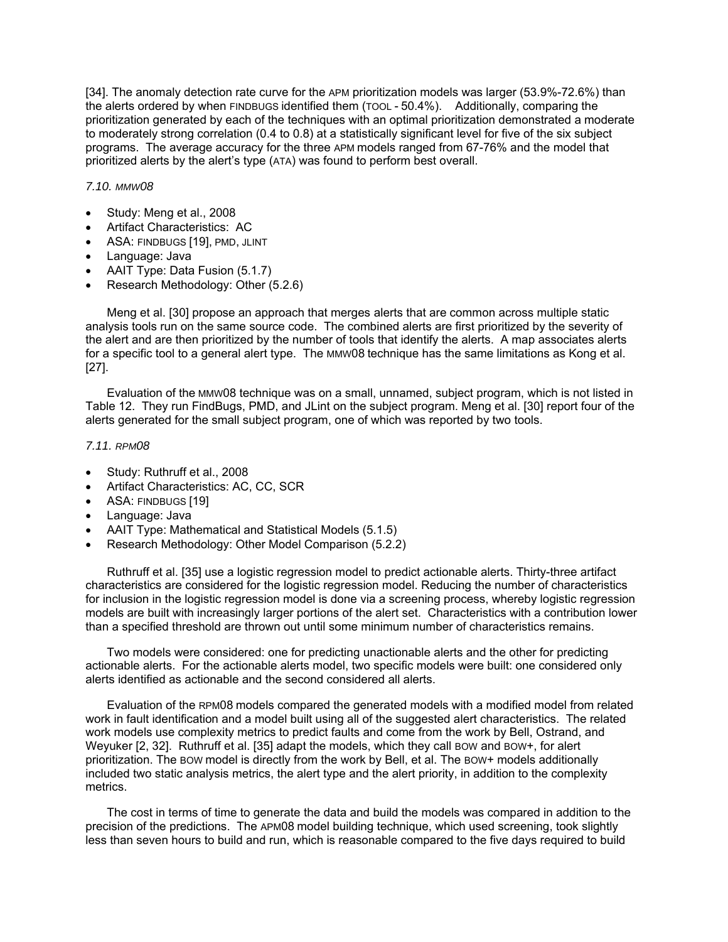[34]. The anomaly detection rate curve for the APM prioritization models was larger (53.9%-72.6%) than the alerts ordered by when FINDBUGS identified them (TOOL - 50.4%). Additionally, comparing the prioritization generated by each of the techniques with an optimal prioritization demonstrated a moderate to moderately strong correlation (0.4 to 0.8) at a statistically significant level for five of the six subject programs. The average accuracy for the three APM models ranged from 67-76% and the model that prioritized alerts by the alert's type (ATA) was found to perform best overall.

*7.10. MMW08* 

- Study: Meng et al., 2008
- Artifact Characteristics: AC
- ASA: FINDBUGS [19], PMD, JLINT
- Language: Java
- AAIT Type: Data Fusion (5.1.7)
- Research Methodology: Other (5.2.6)

Meng et al. [30] propose an approach that merges alerts that are common across multiple static analysis tools run on the same source code. The combined alerts are first prioritized by the severity of the alert and are then prioritized by the number of tools that identify the alerts. A map associates alerts for a specific tool to a general alert type. The MMW08 technique has the same limitations as Kong et al. [27].

Evaluation of the MMW08 technique was on a small, unnamed, subject program, which is not listed in Table 12. They run FindBugs, PMD, and JLint on the subject program. Meng et al. [30] report four of the alerts generated for the small subject program, one of which was reported by two tools.

*7.11. RPM08* 

- Study: Ruthruff et al., 2008
- Artifact Characteristics: AC, CC, SCR
- ASA: FINDBUGS [19]
- Language: Java
- AAIT Type: Mathematical and Statistical Models (5.1.5)
- Research Methodology: Other Model Comparison (5.2.2)

Ruthruff et al. [35] use a logistic regression model to predict actionable alerts. Thirty-three artifact characteristics are considered for the logistic regression model. Reducing the number of characteristics for inclusion in the logistic regression model is done via a screening process, whereby logistic regression models are built with increasingly larger portions of the alert set. Characteristics with a contribution lower than a specified threshold are thrown out until some minimum number of characteristics remains.

Two models were considered: one for predicting unactionable alerts and the other for predicting actionable alerts. For the actionable alerts model, two specific models were built: one considered only alerts identified as actionable and the second considered all alerts.

Evaluation of the RPM08 models compared the generated models with a modified model from related work in fault identification and a model built using all of the suggested alert characteristics. The related work models use complexity metrics to predict faults and come from the work by Bell, Ostrand, and Weyuker [2, 32]. Ruthruff et al. [35] adapt the models, which they call BOW and BOW+, for alert prioritization. The BOW model is directly from the work by Bell, et al. The BOW+ models additionally included two static analysis metrics, the alert type and the alert priority, in addition to the complexity metrics.

The cost in terms of time to generate the data and build the models was compared in addition to the precision of the predictions. The APM08 model building technique, which used screening, took slightly less than seven hours to build and run, which is reasonable compared to the five days required to build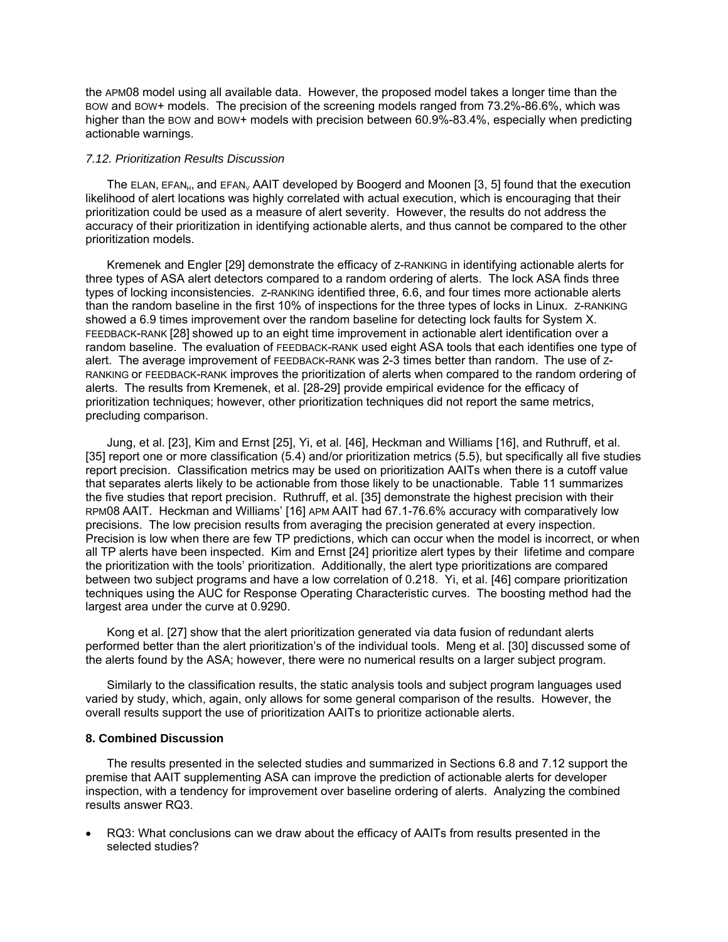the APM08 model using all available data. However, the proposed model takes a longer time than the BOW and BOW+ models. The precision of the screening models ranged from 73.2%-86.6%, which was higher than the BOW and BOW+ models with precision between 60.9%-83.4%, especially when predicting actionable warnings.

#### *7.12. Prioritization Results Discussion*

The ELAN, EFAN<sub>H</sub>, and EFAN<sub>V</sub> AAIT developed by Boogerd and Moonen [3, 5] found that the execution likelihood of alert locations was highly correlated with actual execution, which is encouraging that their prioritization could be used as a measure of alert severity. However, the results do not address the accuracy of their prioritization in identifying actionable alerts, and thus cannot be compared to the other prioritization models.

Kremenek and Engler [29] demonstrate the efficacy of Z-RANKING in identifying actionable alerts for three types of ASA alert detectors compared to a random ordering of alerts. The lock ASA finds three types of locking inconsistencies. Z-RANKING identified three, 6.6, and four times more actionable alerts than the random baseline in the first 10% of inspections for the three types of locks in Linux. Z-RANKING showed a 6.9 times improvement over the random baseline for detecting lock faults for System X. FEEDBACK-RANK [28] showed up to an eight time improvement in actionable alert identification over a random baseline. The evaluation of FEEDBACK-RANK used eight ASA tools that each identifies one type of alert. The average improvement of FEEDBACK-RANK was 2-3 times better than random. The use of Z-RANKING or FEEDBACK-RANK improves the prioritization of alerts when compared to the random ordering of alerts. The results from Kremenek, et al. [28-29] provide empirical evidence for the efficacy of prioritization techniques; however, other prioritization techniques did not report the same metrics, precluding comparison.

Jung, et al. [23], Kim and Ernst [25], Yi, et al. [46], Heckman and Williams [16], and Ruthruff, et al. [35] report one or more classification (5.4) and/or prioritization metrics (5.5), but specifically all five studies report precision. Classification metrics may be used on prioritization AAITs when there is a cutoff value that separates alerts likely to be actionable from those likely to be unactionable. Table 11 summarizes the five studies that report precision. Ruthruff, et al. [35] demonstrate the highest precision with their RPM08 AAIT. Heckman and Williams' [16] APM AAIT had 67.1-76.6% accuracy with comparatively low precisions. The low precision results from averaging the precision generated at every inspection. Precision is low when there are few TP predictions, which can occur when the model is incorrect, or when all TP alerts have been inspected. Kim and Ernst [24] prioritize alert types by their lifetime and compare the prioritization with the tools' prioritization. Additionally, the alert type prioritizations are compared between two subject programs and have a low correlation of 0.218. Yi, et al. [46] compare prioritization techniques using the AUC for Response Operating Characteristic curves. The boosting method had the largest area under the curve at 0.9290.

Kong et al. [27] show that the alert prioritization generated via data fusion of redundant alerts performed better than the alert prioritization's of the individual tools. Meng et al. [30] discussed some of the alerts found by the ASA; however, there were no numerical results on a larger subject program.

Similarly to the classification results, the static analysis tools and subject program languages used varied by study, which, again, only allows for some general comparison of the results. However, the overall results support the use of prioritization AAITs to prioritize actionable alerts.

#### **8. Combined Discussion**

The results presented in the selected studies and summarized in Sections 6.8 and 7.12 support the premise that AAIT supplementing ASA can improve the prediction of actionable alerts for developer inspection, with a tendency for improvement over baseline ordering of alerts. Analyzing the combined results answer RQ3.

• RQ3: What conclusions can we draw about the efficacy of AAITs from results presented in the selected studies?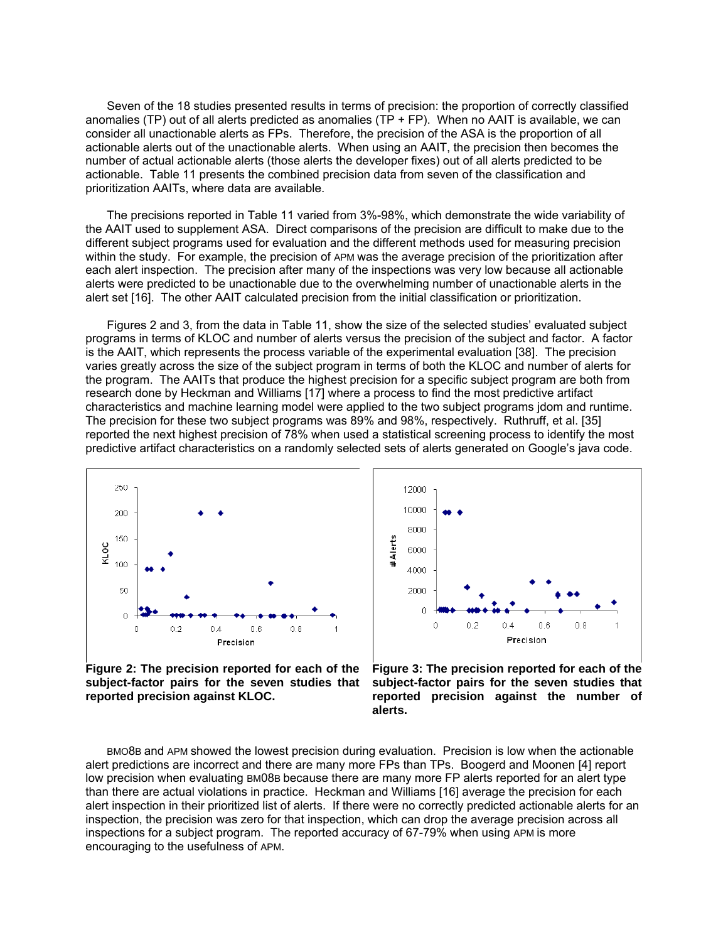Seven of the 18 studies presented results in terms of precision: the proportion of correctly classified anomalies (TP) out of all alerts predicted as anomalies (TP + FP). When no AAIT is available, we can consider all unactionable alerts as FPs. Therefore, the precision of the ASA is the proportion of all actionable alerts out of the unactionable alerts. When using an AAIT, the precision then becomes the number of actual actionable alerts (those alerts the developer fixes) out of all alerts predicted to be actionable. Table 11 presents the combined precision data from seven of the classification and prioritization AAITs, where data are available.

The precisions reported in Table 11 varied from 3%-98%, which demonstrate the wide variability of the AAIT used to supplement ASA. Direct comparisons of the precision are difficult to make due to the different subject programs used for evaluation and the different methods used for measuring precision within the study. For example, the precision of APM was the average precision of the prioritization after each alert inspection. The precision after many of the inspections was very low because all actionable alerts were predicted to be unactionable due to the overwhelming number of unactionable alerts in the alert set [16]. The other AAIT calculated precision from the initial classification or prioritization.

Figures 2 and 3, from the data in Table 11, show the size of the selected studies' evaluated subject programs in terms of KLOC and number of alerts versus the precision of the subject and factor. A factor is the AAIT, which represents the process variable of the experimental evaluation [38]. The precision varies greatly across the size of the subject program in terms of both the KLOC and number of alerts for the program. The AAITs that produce the highest precision for a specific subject program are both from research done by Heckman and Williams [17] where a process to find the most predictive artifact characteristics and machine learning model were applied to the two subject programs jdom and runtime. The precision for these two subject programs was 89% and 98%, respectively. Ruthruff, et al. [35] reported the next highest precision of 78% when used a statistical screening process to identify the most predictive artifact characteristics on a randomly selected sets of alerts generated on Google's java code.



12000 10000 8000 #Alerts 6000 4000 2000 0  $0.6$  $\overline{0}$  $0.2$  $0.4$  $0.8$ Precision

**Figure 2: The precision reported for each of the subject-factor pairs for the seven studies that reported precision against KLOC.** 

**Figure 3: The precision reported for each of the subject-factor pairs for the seven studies that reported precision against the number of alerts.** 

BMO8B and APM showed the lowest precision during evaluation. Precision is low when the actionable alert predictions are incorrect and there are many more FPs than TPs. Boogerd and Moonen [4] report low precision when evaluating BM08B because there are many more FP alerts reported for an alert type than there are actual violations in practice. Heckman and Williams [16] average the precision for each alert inspection in their prioritized list of alerts. If there were no correctly predicted actionable alerts for an inspection, the precision was zero for that inspection, which can drop the average precision across all inspections for a subject program. The reported accuracy of 67-79% when using APM is more encouraging to the usefulness of APM.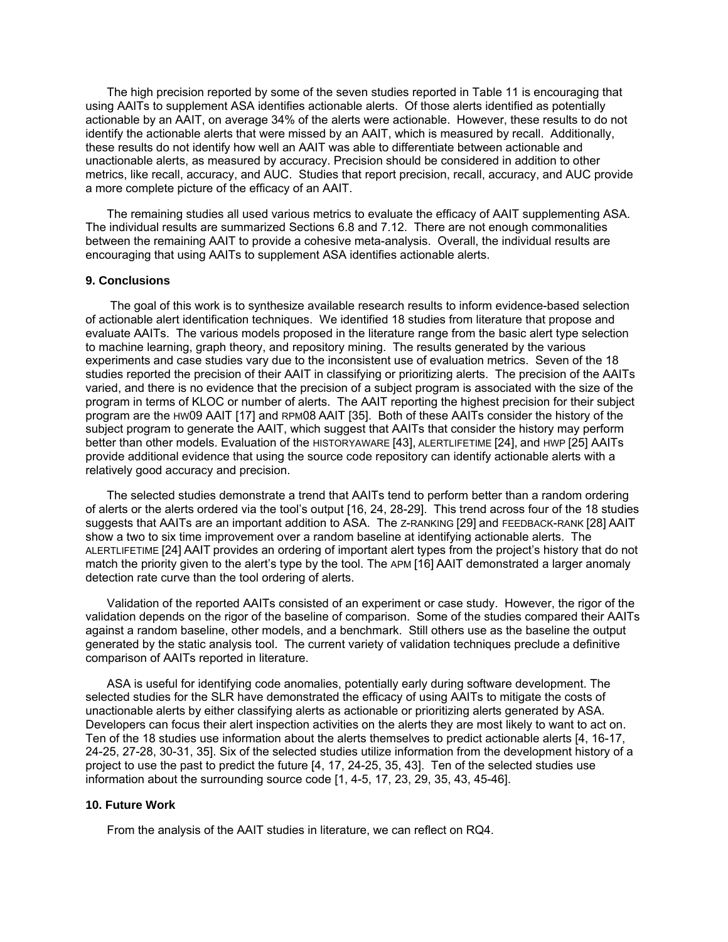The high precision reported by some of the seven studies reported in Table 11 is encouraging that using AAITs to supplement ASA identifies actionable alerts. Of those alerts identified as potentially actionable by an AAIT, on average 34% of the alerts were actionable. However, these results to do not identify the actionable alerts that were missed by an AAIT, which is measured by recall. Additionally, these results do not identify how well an AAIT was able to differentiate between actionable and unactionable alerts, as measured by accuracy. Precision should be considered in addition to other metrics, like recall, accuracy, and AUC. Studies that report precision, recall, accuracy, and AUC provide a more complete picture of the efficacy of an AAIT.

The remaining studies all used various metrics to evaluate the efficacy of AAIT supplementing ASA. The individual results are summarized Sections 6.8 and 7.12. There are not enough commonalities between the remaining AAIT to provide a cohesive meta-analysis. Overall, the individual results are encouraging that using AAITs to supplement ASA identifies actionable alerts.

## **9. Conclusions**

 The goal of this work is to synthesize available research results to inform evidence-based selection of actionable alert identification techniques. We identified 18 studies from literature that propose and evaluate AAITs. The various models proposed in the literature range from the basic alert type selection to machine learning, graph theory, and repository mining. The results generated by the various experiments and case studies vary due to the inconsistent use of evaluation metrics. Seven of the 18 studies reported the precision of their AAIT in classifying or prioritizing alerts. The precision of the AAITs varied, and there is no evidence that the precision of a subject program is associated with the size of the program in terms of KLOC or number of alerts. The AAIT reporting the highest precision for their subject program are the HW09 AAIT [17] and RPM08 AAIT [35]. Both of these AAITs consider the history of the subject program to generate the AAIT, which suggest that AAITs that consider the history may perform better than other models. Evaluation of the HISTORYAWARE [43], ALERTLIFETIME [24], and HWP [25] AAITs provide additional evidence that using the source code repository can identify actionable alerts with a relatively good accuracy and precision.

The selected studies demonstrate a trend that AAITs tend to perform better than a random ordering of alerts or the alerts ordered via the tool's output [16, 24, 28-29]. This trend across four of the 18 studies suggests that AAITs are an important addition to ASA. The Z-RANKING [29] and FEEDBACK-RANK [28] AAIT show a two to six time improvement over a random baseline at identifying actionable alerts. The ALERTLIFETIME [24] AAIT provides an ordering of important alert types from the project's history that do not match the priority given to the alert's type by the tool. The APM [16] AAIT demonstrated a larger anomaly detection rate curve than the tool ordering of alerts.

Validation of the reported AAITs consisted of an experiment or case study. However, the rigor of the validation depends on the rigor of the baseline of comparison. Some of the studies compared their AAITs against a random baseline, other models, and a benchmark. Still others use as the baseline the output generated by the static analysis tool. The current variety of validation techniques preclude a definitive comparison of AAITs reported in literature.

ASA is useful for identifying code anomalies, potentially early during software development. The selected studies for the SLR have demonstrated the efficacy of using AAITs to mitigate the costs of unactionable alerts by either classifying alerts as actionable or prioritizing alerts generated by ASA. Developers can focus their alert inspection activities on the alerts they are most likely to want to act on. Ten of the 18 studies use information about the alerts themselves to predict actionable alerts [4, 16-17, 24-25, 27-28, 30-31, 35]. Six of the selected studies utilize information from the development history of a project to use the past to predict the future [4, 17, 24-25, 35, 43]. Ten of the selected studies use information about the surrounding source code [1, 4-5, 17, 23, 29, 35, 43, 45-46].

## **10. Future Work**

From the analysis of the AAIT studies in literature, we can reflect on RQ4.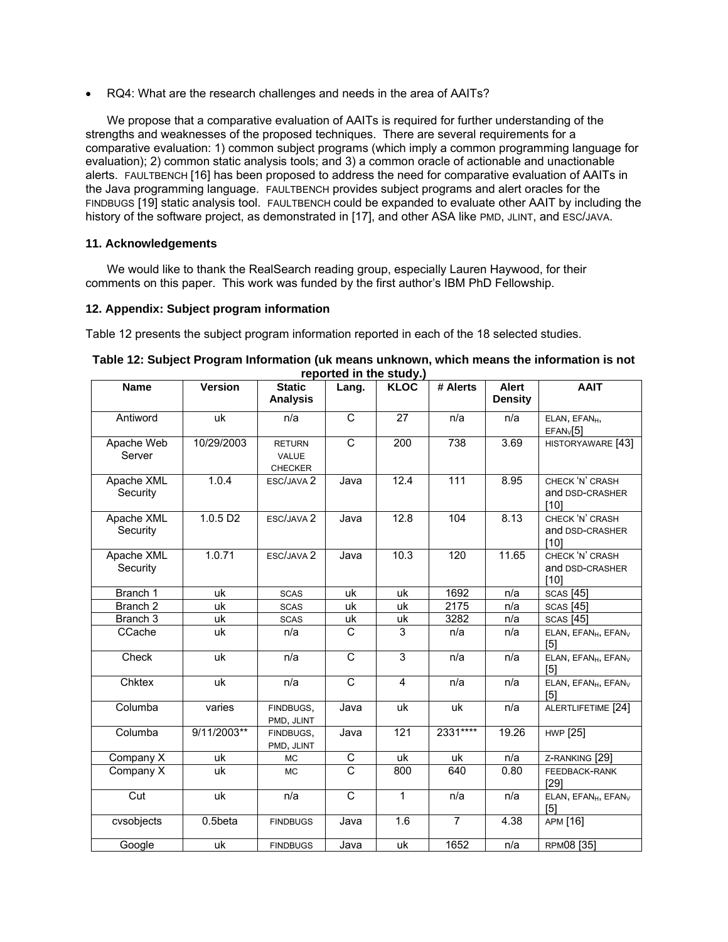• RQ4: What are the research challenges and needs in the area of AAITs?

We propose that a comparative evaluation of AAITs is required for further understanding of the strengths and weaknesses of the proposed techniques. There are several requirements for a comparative evaluation: 1) common subject programs (which imply a common programming language for evaluation); 2) common static analysis tools; and 3) a common oracle of actionable and unactionable alerts. FAULTBENCH [16] has been proposed to address the need for comparative evaluation of AAITs in the Java programming language. FAULTBENCH provides subject programs and alert oracles for the FINDBUGS [19] static analysis tool. FAULTBENCH could be expanded to evaluate other AAIT by including the history of the software project, as demonstrated in [17], and other ASA like PMD, JLINT, and ESC/JAVA.

# **11. Acknowledgements**

We would like to thank the RealSearch reading group, especially Lauren Haywood, for their comments on this paper. This work was funded by the first author's IBM PhD Fellowship.

# **12. Appendix: Subject program information**

Table 12 presents the subject program information reported in each of the 18 selected studies.

| reported in the study.) |                        |                                          |       |             |          |                                |                                                    |
|-------------------------|------------------------|------------------------------------------|-------|-------------|----------|--------------------------------|----------------------------------------------------|
| <b>Name</b>             | <b>Version</b>         | <b>Static</b><br><b>Analysis</b>         | Lang. | <b>KLOC</b> | # Alerts | <b>Alert</b><br><b>Density</b> | <b>AAIT</b>                                        |
| Antiword                | uk                     | n/a                                      | C     | 27          | n/a      | n/a                            | ELAN, EFAN <sub>H</sub> ,<br>EFAN <sub>v</sub> [5] |
| Apache Web<br>Server    | 10/29/2003             | <b>RETURN</b><br>VALUE<br><b>CHECKER</b> | C     | 200         | 738      | 3.69                           | HISTORYAWARE [43]                                  |
| Apache XML<br>Security  | 1.0.4                  | ESC/JAVA 2                               | Java  | 12.4        | 111      | 8.95                           | CHECK 'N' CRASH<br>and DSD-CRASHER<br>[10]         |
| Apache XML<br>Security  | $1.0.5$ D <sub>2</sub> | ESC/JAVA 2                               | Java  | 12.8        | 104      | 8.13                           | CHECK 'N' CRASH<br>and DSD-CRASHER<br>[10]         |

| Table 12: Subject Program Information (uk means unknown, which means the information is not |
|---------------------------------------------------------------------------------------------|
| reported in the study.)                                                                     |

| $'$ was to $'$ with<br>Security |                        |                         |                       |                |                | ◡.◡◡  | and DSD-CRASHER                                    |
|---------------------------------|------------------------|-------------------------|-----------------------|----------------|----------------|-------|----------------------------------------------------|
| Apache XML<br>Security          | $1.0.5\,\overline{D2}$ | ESC/JAVA 2              | Java                  | 12.8           | 104            | 8.13  | [10]<br>CHECK 'N' CRASH<br>and DSD-CRASHER         |
|                                 |                        |                         |                       |                |                |       | [10]                                               |
| Apache XML<br>Security          | 1.0.71                 | ESC/JAVA 2              | Java                  | 10.3           | 120            | 11.65 | CHECK 'N' CRASH<br>and DSD-CRASHER                 |
|                                 |                        |                         |                       |                |                |       | [10]                                               |
| Branch 1                        | uk                     | <b>SCAS</b>             | uk                    | uk             | 1692           | n/a   | <b>SCAS</b> [45]                                   |
| Branch <sub>2</sub>             | uk                     | <b>SCAS</b>             | uk                    | uk             | 2175           | n/a   | <b>SCAS</b> [45]                                   |
| Branch 3                        | uk                     | <b>SCAS</b>             | uk                    | uk             | 3282           | n/a   | <b>SCAS</b> [45]                                   |
| CCache                          | uk                     | n/a                     | C                     | 3              | n/a            | n/a   | ELAN, EFAN <sub>H</sub> , EFAN <sub>V</sub><br>[5] |
| Check                           | uk                     | n/a                     | $\mathsf{C}$          | 3              | n/a            | n/a   | ELAN, EFAN <sub>H</sub> , EFAN <sub>V</sub><br>[5] |
| Chktex                          | uk                     | n/a                     | $\mathsf{C}$          | $\overline{4}$ | n/a            | n/a   | ELAN, EFAN <sub>H</sub> , EFAN <sub>V</sub><br>[5] |
| Columba                         | varies                 | FINDBUGS,<br>PMD, JLINT | Java                  | uk             | uk             | n/a   | ALERTLIFETIME [24]                                 |
| Columba                         | 9/11/2003**            | FINDBUGS,<br>PMD, JLINT | Java                  | 121            | 2331****       | 19.26 | <b>HWP</b> [25]                                    |
| Company X                       | uk                     | <b>MC</b>               | C                     | uk             | uk             | n/a   | Z-RANKING [29]                                     |
| Company X                       | uk                     | <b>MC</b>               | $\overline{\text{c}}$ | 800            | 640            | 0.80  | FEEDBACK-RANK<br>[29]                              |
| Cut                             | uk                     | n/a                     | C                     | $\mathbf{1}$   | n/a            | n/a   | ELAN, EFAN <sub>H</sub> , EFAN <sub>V</sub><br>[5] |
| cvsobjects                      | 0.5beta                | <b>FINDBUGS</b>         | Java                  | 1.6            | $\overline{7}$ | 4.38  | APM [16]                                           |
| Google                          | uk                     | <b>FINDBUGS</b>         | Java                  | uk             | 1652           | n/a   | RPM08 [35]                                         |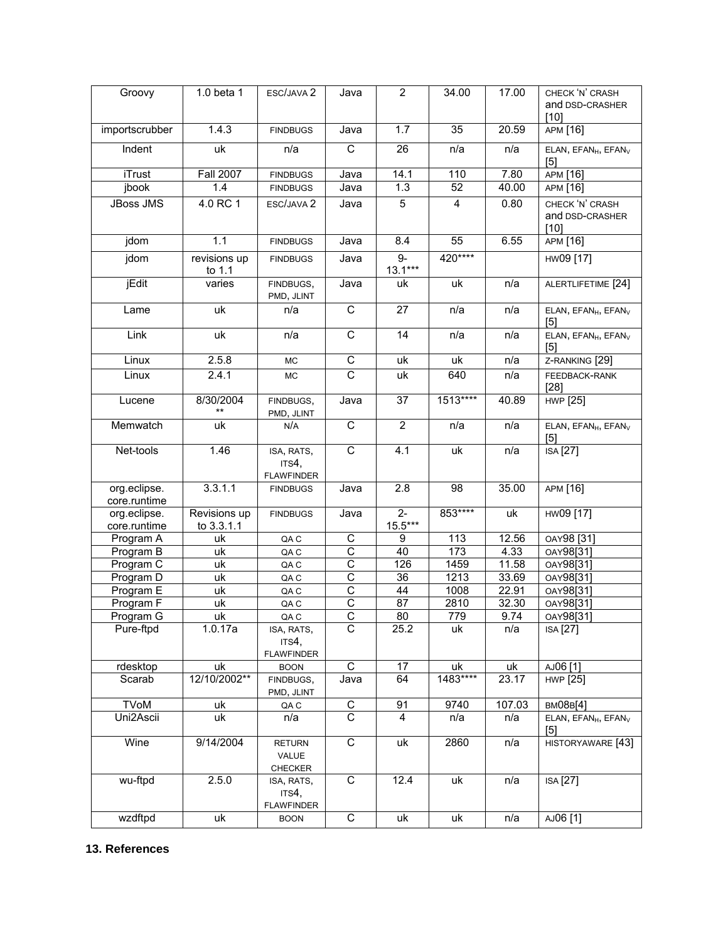| Groovy                       | 1.0 beta 1                 | ESC/JAVA 2                               | Java                  | $\overline{2}$    | 34.00            | 17.00              | CHECK 'N' CRASH                                    |
|------------------------------|----------------------------|------------------------------------------|-----------------------|-------------------|------------------|--------------------|----------------------------------------------------|
|                              |                            |                                          |                       |                   |                  |                    | and DSD-CRASHER<br>$[10]$                          |
| importscrubber               | 1.4.3                      | <b>FINDBUGS</b>                          | Java                  | 1.7               | 35               | 20.59              | APM [16]                                           |
| Indent                       | uk                         | n/a                                      | $\overline{C}$        | 26                | n/a              | n/a                | ELAN, EFAN <sub>H</sub> , EFAN <sub>V</sub><br>[5] |
| iTrust                       | <b>Fall 2007</b>           | <b>FINDBUGS</b>                          | Java                  | 14.1              | 110              | 7.80               | APM [16]                                           |
| jbook                        | 1.4                        | <b>FINDBUGS</b>                          | Java                  | 1.3               | 52               | 40.00              | APM [16]                                           |
| <b>JBoss JMS</b>             | 4.0 RC 1                   | ESC/JAVA 2                               | Java                  | $\overline{5}$    | 4                | 0.80               | CHECK 'N' CRASH                                    |
|                              |                            |                                          |                       |                   |                  |                    | and DSD-CRASHER<br>$[10]$                          |
| jdom                         | 1.1                        | <b>FINDBUGS</b>                          | Java                  | 8.4               | $\overline{55}$  | 6.55               | <b>APM</b> [16]                                    |
| jdom                         | revisions up<br>to 1.1     | <b>FINDBUGS</b>                          | Java                  | $9-$<br>$13.1***$ | 420****          |                    | HW09 [17]                                          |
| jEdit                        | varies                     | FINDBUGS,<br>PMD, JLINT                  | Java                  | uk                | uk               | n/a                | ALERTLIFETIME [24]                                 |
| Lame                         | uk                         | n/a                                      | $\overline{C}$        | $\overline{27}$   | n/a              | n/a                | ELAN, EFAN <sub>H</sub> , EFAN <sub>V</sub><br>[5] |
| Link                         | uk                         | n/a                                      | $\overline{\text{c}}$ | $\overline{14}$   | n/a              | n/a                | ELAN, EFAN <sub>H</sub> , EFAN <sub>V</sub><br>[5] |
| Linux                        | 2.5.8                      | <b>MC</b>                                | $\overline{C}$        | uk                | uk               | n/a                | Z-RANKING [29]                                     |
| Linux                        | 2.4.1                      | <b>MC</b>                                | $\overline{\text{c}}$ | uk                | 640              | n/a                | FEEDBACK-RANK<br>$[28]$                            |
| Lucene                       | 8/30/2004<br>**            | FINDBUGS,<br>PMD, JLINT                  | Java                  | 37                | $1513***$        | 40.89              | <b>HWP</b> [25]                                    |
| Memwatch                     | uk                         | N/A                                      | $\overline{\text{c}}$ | $\overline{2}$    | n/a              | n/a                | ELAN, EFAN <sub>H</sub> , EFAN <sub>V</sub><br>[5] |
| Net-tools                    | 1.46                       | ISA, RATS,<br>ITS4,<br><b>FLAWFINDER</b> | $\overline{C}$        | 4.1               | uk               | n/a                | ISA [27]                                           |
| org.eclipse.<br>core.runtime | 3.3.1.1                    | <b>FINDBUGS</b>                          | Java                  | 2.8               | 98               | 35.00              | APM [16]                                           |
| org.eclipse.<br>core.runtime | Revisions up<br>to 3.3.1.1 | <b>FINDBUGS</b>                          | Java                  | $2-$<br>$15.5***$ | 853****          | uk                 | HW09 [17]                                          |
| Program A                    | uk                         | QA C                                     | С                     | 9                 | 113              | $\overline{12.56}$ | OAY98 [31]                                         |
| Program B                    | uk                         | QA C                                     | $\overline{\text{c}}$ | 40                | $\overline{173}$ | 4.33               | OAY98[31]                                          |
| Program C                    | uk                         | QA C                                     | $\overline{C}$        | 126               | 1459             | 11.58              | OAY98[31]                                          |
| Program D                    | uk                         | QA C                                     | $\overline{C}$        | 36                | 1213             | 33.69              | OAY98[31]                                          |
| Program E                    | uk                         | QA C                                     | $\overline{\text{c}}$ | 44                | 1008             | 22.91              | OAY98[31]                                          |
| Program F                    | uk                         | QA C                                     | $\overline{\text{c}}$ | $\overline{87}$   | 2810             | 32.30              | OAY98[31]                                          |
| Program G                    | uk                         | QA C                                     | $\overline{\text{C}}$ | 80                | 779              | 9.74               | OAY98[31]                                          |
| Pure-ftpd                    | 1.0.17a                    | ISA, RATS,                               | $\overline{C}$        | 25.2              | uk               | n/a                | ISA [27]                                           |
|                              |                            | ITS4,<br><b>FLAWFINDER</b>               |                       |                   |                  |                    |                                                    |
| rdesktop                     | uk                         | <b>BOON</b>                              | $\overline{C}$        | 17                | uk               | uk                 | AJ06 [1]                                           |
| Scarab                       | 12/10/2002**               | FINDBUGS,<br>PMD, JLINT                  | Java                  | 64                | 1483****         | 23.17              | <b>HWP</b> [25]                                    |
| <b>TVoM</b>                  | uk                         | QA C                                     | C                     | 91                | 9740             | 107.03             | вм08в[4]                                           |
| Uni2Ascii                    | uk                         | n/a                                      | $\overline{\text{c}}$ | 4                 | n/a              | n/a                | ELAN, EFAN <sub>H</sub> , EFAN <sub>V</sub><br>[5] |
| Wine                         | 9/14/2004                  | <b>RETURN</b><br>VALUE<br><b>CHECKER</b> | $\mathbf C$           | uk                | 2860             | n/a                | HISTORYAWARE [43]                                  |
| wu-ftpd                      | 2.5.0                      | ISA, RATS,<br>ITS4,<br><b>FLAWFINDER</b> | ${\rm C}$             | 12.4              | uk               | n/a                | ISA [27]                                           |
| wzdftpd                      | uk                         | <b>BOON</b>                              | $\overline{C}$        | uk                | uk               | n/a                | AJ06 [1]                                           |

# **13. References**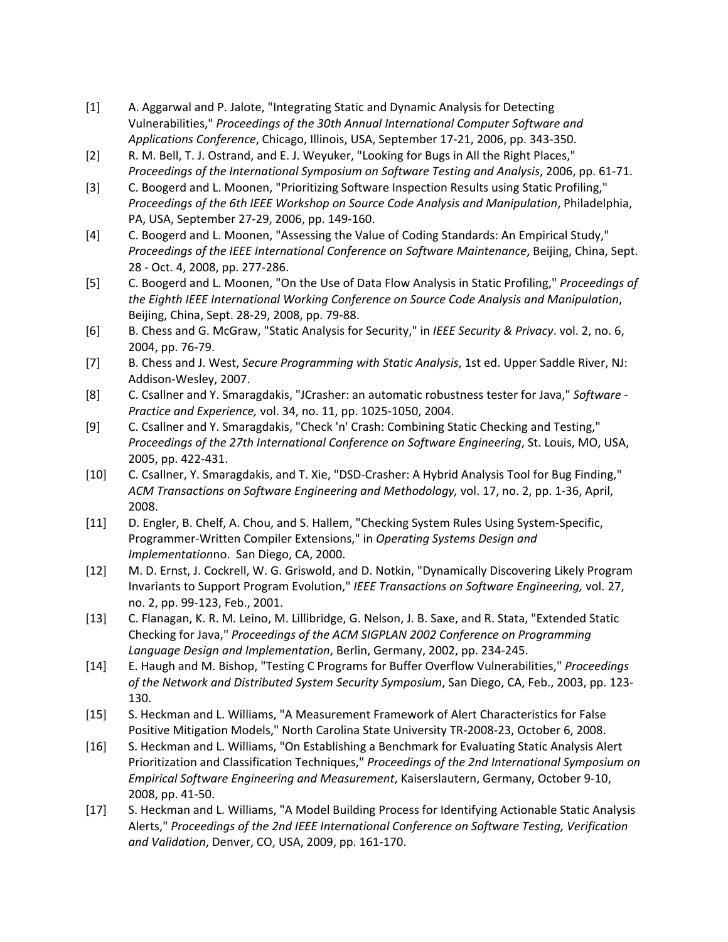- [1] A. Aggarwal and P. Jalote, "Integrating Static and Dynamic Analysis for Detecting Vulnerabilities," *Proceedings of the 30th Annual International Computer Software and Applications Conference*, Chicago, Illinois, USA, September 17‐21, 2006, pp. 343‐350.
- [2] R. M. Bell, T. J. Ostrand, and E. J. Weyuker, "Looking for Bugs in All the Right Places," *Proceedings of the International Symposium on Software Testing and Analysis*, 2006, pp. 61‐71.
- [3] C. Boogerd and L. Moonen, "Prioritizing Software Inspection Results using Static Profiling," *Proceedings of the 6th IEEE Workshop on Source Code Analysis and Manipulation*, Philadelphia, PA, USA, September 27‐29, 2006, pp. 149‐160.
- [4] C. Boogerd and L. Moonen, "Assessing the Value of Coding Standards: An Empirical Study," *Proceedings of the IEEE International Conference on Software Maintenance*, Beijing, China, Sept. 28 ‐ Oct. 4, 2008, pp. 277‐286.
- [5] C. Boogerd and L. Moonen, "On the Use of Data Flow Analysis in Static Profiling," *Proceedings of the Eighth IEEE International Working Conference on Source Code Analysis and Manipulation*, Beijing, China, Sept. 28‐29, 2008, pp. 79‐88.
- [6] B. Chess and G. McGraw, "Static Analysis for Security," in *IEEE Security & Privacy*. vol. 2, no. 6, 2004, pp. 76‐79.
- [7] B. Chess and J. West, *Secure Programming with Static Analysis*, 1st ed. Upper Saddle River, NJ: Addison‐Wesley, 2007.
- [8] C. Csallner and Y. Smaragdakis, "JCrasher: an automatic robustness tester for Java," *Software ‐ Practice and Experience,* vol. 34, no. 11, pp. 1025‐1050, 2004.
- [9] C. Csallner and Y. Smaragdakis, "Check 'n' Crash: Combining Static Checking and Testing," *Proceedings of the 27th International Conference on Software Engineering*, St. Louis, MO, USA, 2005, pp. 422‐431.
- [10] C. Csallner, Y. Smaragdakis, and T. Xie, "DSD‐Crasher: A Hybrid Analysis Tool for Bug Finding," *ACM Transactions on Software Engineering and Methodology,* vol. 17, no. 2, pp. 1‐36, April, 2008.
- [11] D. Engler, B. Chelf, A. Chou, and S. Hallem, "Checking System Rules Using System‐Specific, Programmer‐Written Compiler Extensions," in *Operating Systems Design and Implementation*no. San Diego, CA, 2000.
- [12] M. D. Ernst, J. Cockrell, W. G. Griswold, and D. Notkin, "Dynamically Discovering Likely Program Invariants to Support Program Evolution," *IEEE Transactions on Software Engineering,* vol. 27, no. 2, pp. 99‐123, Feb., 2001.
- [13] C. Flanagan, K. R. M. Leino, M. Lillibridge, G. Nelson, J. B. Saxe, and R. Stata, "Extended Static Checking for Java," *Proceedings of the ACM SIGPLAN 2002 Conference on Programming Language Design and Implementation*, Berlin, Germany, 2002, pp. 234‐245.
- [14] E. Haugh and M. Bishop, "Testing C Programs for Buffer Overflow Vulnerabilities," *Proceedings of the Network and Distributed System Security Symposium*, San Diego, CA, Feb., 2003, pp. 123‐ 130.
- [15] S. Heckman and L. Williams, "A Measurement Framework of Alert Characteristics for False Positive Mitigation Models," North Carolina State University TR‐2008‐23, October 6, 2008.
- [16] S. Heckman and L. Williams, "On Establishing a Benchmark for Evaluating Static Analysis Alert Prioritization and Classification Techniques," *Proceedings of the 2nd International Symposium on Empirical Software Engineering and Measurement*, Kaiserslautern, Germany, October 9‐10, 2008, pp. 41‐50.
- [17] S. Heckman and L. Williams, "A Model Building Process for Identifying Actionable Static Analysis Alerts," *Proceedings of the 2nd IEEE International Conference on Software Testing, Verification and Validation*, Denver, CO, USA, 2009, pp. 161‐170.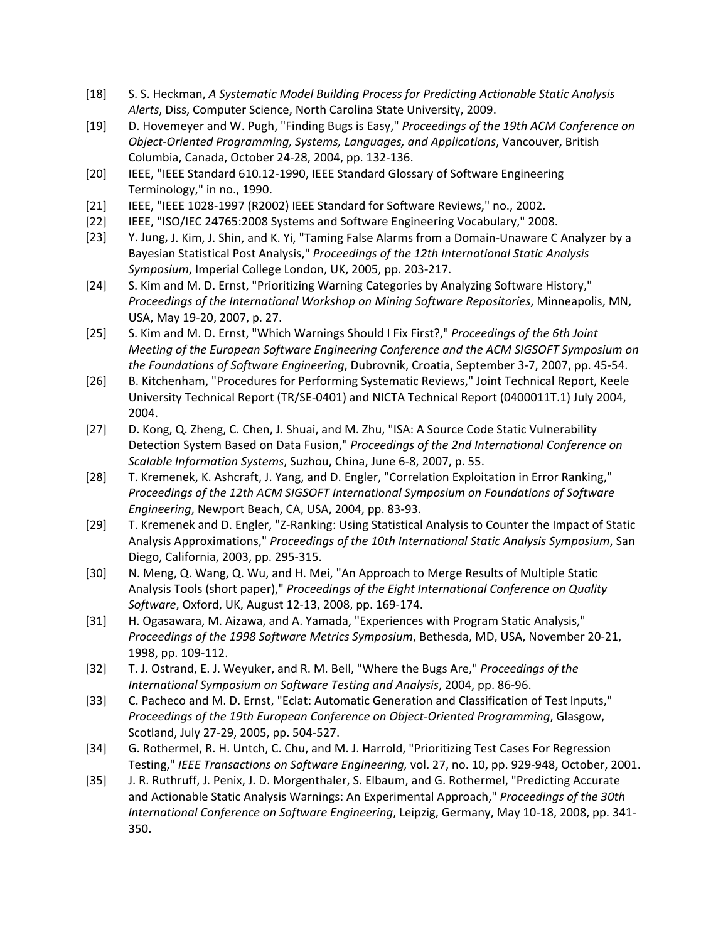- [18] S. S. Heckman, *A Systematic Model Building Process for Predicting Actionable Static Analysis Alerts*, Diss, Computer Science, North Carolina State University, 2009.
- [19] D. Hovemeyer and W. Pugh, "Finding Bugs is Easy," *Proceedings of the 19th ACM Conference on Object‐Oriented Programming, Systems, Languages, and Applications*, Vancouver, British Columbia, Canada, October 24‐28, 2004, pp. 132‐136.
- [20] IEEE, "IEEE Standard 610.12‐1990, IEEE Standard Glossary of Software Engineering Terminology," in no., 1990.
- [21] IEEE, "IEEE 1028‐1997 (R2002) IEEE Standard for Software Reviews," no., 2002.
- [22] IEEE, "ISO/IEC 24765:2008 Systems and Software Engineering Vocabulary," 2008.
- [23] Y. Jung, J. Kim, J. Shin, and K. Yi, "Taming False Alarms from a Domain‐Unaware C Analyzer by a Bayesian Statistical Post Analysis," *Proceedings of the 12th International Static Analysis Symposium*, Imperial College London, UK, 2005, pp. 203‐217.
- [24] S. Kim and M. D. Ernst, "Prioritizing Warning Categories by Analyzing Software History," *Proceedings of the International Workshop on Mining Software Repositories*, Minneapolis, MN, USA, May 19‐20, 2007, p. 27.
- [25] S. Kim and M. D. Ernst, "Which Warnings Should I Fix First?," *Proceedings of the 6th Joint Meeting of the European Software Engineering Conference and the ACM SIGSOFT Symposium on the Foundations of Software Engineering*, Dubrovnik, Croatia, September 3‐7, 2007, pp. 45‐54.
- [26] B. Kitchenham, "Procedures for Performing Systematic Reviews," Joint Technical Report, Keele University Technical Report (TR/SE‐0401) and NICTA Technical Report (0400011T.1) July 2004, 2004.
- [27] D. Kong, Q. Zheng, C. Chen, J. Shuai, and M. Zhu, "ISA: A Source Code Static Vulnerability Detection System Based on Data Fusion," *Proceedings of the 2nd International Conference on Scalable Information Systems*, Suzhou, China, June 6‐8, 2007, p. 55.
- [28] T. Kremenek, K. Ashcraft, J. Yang, and D. Engler, "Correlation Exploitation in Error Ranking," *Proceedings of the 12th ACM SIGSOFT International Symposium on Foundations of Software Engineering*, Newport Beach, CA, USA, 2004, pp. 83‐93.
- [29] T. Kremenek and D. Engler, "Z‐Ranking: Using Statistical Analysis to Counter the Impact of Static Analysis Approximations," *Proceedings of the 10th International Static Analysis Symposium*, San Diego, California, 2003, pp. 295‐315.
- [30] N. Meng, Q. Wang, Q. Wu, and H. Mei, "An Approach to Merge Results of Multiple Static Analysis Tools (short paper)," *Proceedings of the Eight International Conference on Quality Software*, Oxford, UK, August 12‐13, 2008, pp. 169‐174.
- [31] H. Ogasawara, M. Aizawa, and A. Yamada, "Experiences with Program Static Analysis," *Proceedings of the 1998 Software Metrics Symposium*, Bethesda, MD, USA, November 20‐21, 1998, pp. 109‐112.
- [32] T. J. Ostrand, E. J. Weyuker, and R. M. Bell, "Where the Bugs Are," *Proceedings of the International Symposium on Software Testing and Analysis*, 2004, pp. 86‐96.
- [33] C. Pacheco and M. D. Ernst, "Eclat: Automatic Generation and Classification of Test Inputs," *Proceedings of the 19th European Conference on Object‐Oriented Programming*, Glasgow, Scotland, July 27‐29, 2005, pp. 504‐527.
- [34] G. Rothermel, R. H. Untch, C. Chu, and M. J. Harrold, "Prioritizing Test Cases For Regression Testing," *IEEE Transactions on Software Engineering,* vol. 27, no. 10, pp. 929‐948, October, 2001.
- [35] J. R. Ruthruff, J. Penix, J. D. Morgenthaler, S. Elbaum, and G. Rothermel, "Predicting Accurate and Actionable Static Analysis Warnings: An Experimental Approach," *Proceedings of the 30th International Conference on Software Engineering*, Leipzig, Germany, May 10‐18, 2008, pp. 341‐ 350.